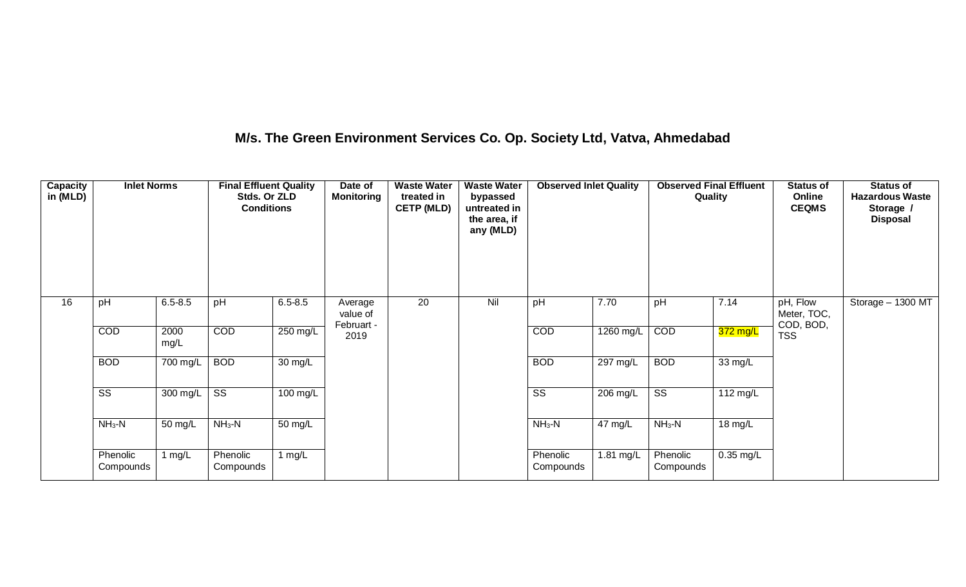### **M/s. The Green Environment Services Co. Op. Society Ltd, Vatva, Ahmedabad**

| Capacity<br>in (MLD) | <b>Inlet Norms</b>    |              | <b>Final Effluent Quality</b><br>Stds. Or ZLD<br><b>Conditions</b> |             | Date of<br><b>Monitoring</b>      | <b>Waste Water</b><br>treated in<br><b>CETP (MLD)</b> | <b>Waste Water</b><br>bypassed<br>untreated in<br>the area, if<br>any (MLD) | <b>Observed Inlet Quality</b> |           | <b>Observed Final Effluent</b><br>Quality |           | <b>Status of</b><br>Online<br><b>CEQMS</b> | <b>Status of</b><br><b>Hazardous Waste</b><br>Storage /<br><b>Disposal</b> |
|----------------------|-----------------------|--------------|--------------------------------------------------------------------|-------------|-----------------------------------|-------------------------------------------------------|-----------------------------------------------------------------------------|-------------------------------|-----------|-------------------------------------------|-----------|--------------------------------------------|----------------------------------------------------------------------------|
| 16                   | pH                    | $6.5 - 8.5$  | pH                                                                 | $6.5 - 8.5$ | Average<br>value of<br>Februart - | 20                                                    | Nil                                                                         | pH                            | 7.70      | pH                                        | 7.14      | pH, Flow<br>Meter, TOC,<br>COD, BOD,       | Storage $-$ 1300 MT                                                        |
|                      | COD                   | 2000<br>mg/L | COD                                                                | 250 mg/L    | 2019                              |                                                       |                                                                             | COD                           | 1260 mg/L | COD                                       | 372 mg/L  | <b>TSS</b>                                 |                                                                            |
|                      | <b>BOD</b>            | 700 mg/L     | <b>BOD</b>                                                         | 30 mg/L     |                                   |                                                       |                                                                             | <b>BOD</b>                    | 297 mg/L  | <b>BOD</b>                                | 33 mg/L   |                                            |                                                                            |
|                      | SS                    | 300 mg/L     | $\overline{\text{ss}}$                                             | 100 mg/L    |                                   |                                                       |                                                                             | SS                            | 206 mg/L  | $\overline{\text{SS}}$                    | 112 mg/L  |                                            |                                                                            |
|                      | $NH3-N$               | 50 mg/L      | $NH3-N$                                                            | 50 mg/L     |                                   |                                                       |                                                                             | $NH3-N$                       | 47 mg/L   | $NH3-N$                                   | 18 mg/L   |                                            |                                                                            |
|                      | Phenolic<br>Compounds | 1 $mg/L$     | Phenolic<br>Compounds                                              | 1 $mg/L$    |                                   |                                                       |                                                                             | Phenolic<br>Compounds         | 1.81 mg/L | Phenolic<br>Compounds                     | 0.35 mg/L |                                            |                                                                            |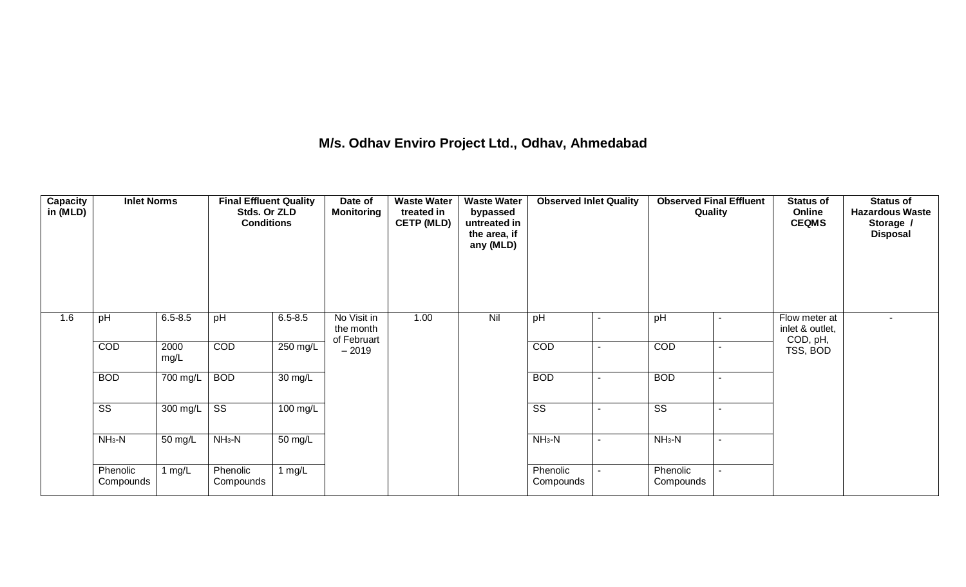### **M/s. Odhav Enviro Project Ltd., Odhav, Ahmedabad**

| Capacity<br>in (MLD) | <b>Inlet Norms</b>     |              | <b>Final Effluent Quality</b><br>Stds. Or ZLD<br><b>Conditions</b> |                    | Date of<br><b>Monitoring</b>            | <b>Waste Water</b><br>treated in<br><b>CETP (MLD)</b> | <b>Waste Water</b><br>bypassed<br>untreated in<br>the area, if<br>any (MLD) | <b>Observed Inlet Quality</b> |                          | <b>Observed Final Effluent</b><br>Quality | <b>Status of</b><br>Online<br><b>CEQMS</b>   | <b>Status of</b><br><b>Hazardous Waste</b><br>Storage /<br><b>Disposal</b> |
|----------------------|------------------------|--------------|--------------------------------------------------------------------|--------------------|-----------------------------------------|-------------------------------------------------------|-----------------------------------------------------------------------------|-------------------------------|--------------------------|-------------------------------------------|----------------------------------------------|----------------------------------------------------------------------------|
| 1.6                  | pH                     | $6.5 - 8.5$  | pH                                                                 | $6.5 - 8.5$        | No Visit in<br>the month<br>of Februart | 1.00                                                  | Nil                                                                         | pH                            | $\sim$                   | pH<br>$\sim$                              | Flow meter at<br>inlet & outlet,<br>COD, pH, | $\sim$                                                                     |
|                      | COD                    | 2000<br>mg/L | COD                                                                | 250 mg/L           | $-2019$                                 |                                                       |                                                                             | <b>COD</b>                    | $\sim$                   | <b>COD</b><br>$\sim$                      | TSS, BOD                                     |                                                                            |
|                      | <b>BOD</b>             | 700 mg/L     | <b>BOD</b>                                                         | 30 mg/L            |                                         |                                                       |                                                                             | <b>BOD</b>                    | $\sim$                   | <b>BOD</b><br>$\sim$                      |                                              |                                                                            |
|                      | $\overline{\text{SS}}$ | 300 mg/L     | $\overline{\text{ss}}$                                             | $100 \text{ mg/L}$ |                                         |                                                       |                                                                             | $\overline{\text{SS}}$        | $\blacksquare$           | $\overline{\text{SS}}$<br>$\blacksquare$  |                                              |                                                                            |
|                      | $NH3-N$                | 50 mg/L      | $NH3-N$                                                            | 50 mg/L            |                                         |                                                       |                                                                             | $NH3-N$                       | $\overline{\phantom{a}}$ | $NH3-N$<br>$\blacksquare$                 |                                              |                                                                            |
|                      | Phenolic<br>Compounds  | 1 mg/L       | Phenolic<br>Compounds                                              | 1 $mg/L$           |                                         |                                                       |                                                                             | Phenolic<br>Compounds         | $\sim$                   | Phenolic<br>Compounds                     |                                              |                                                                            |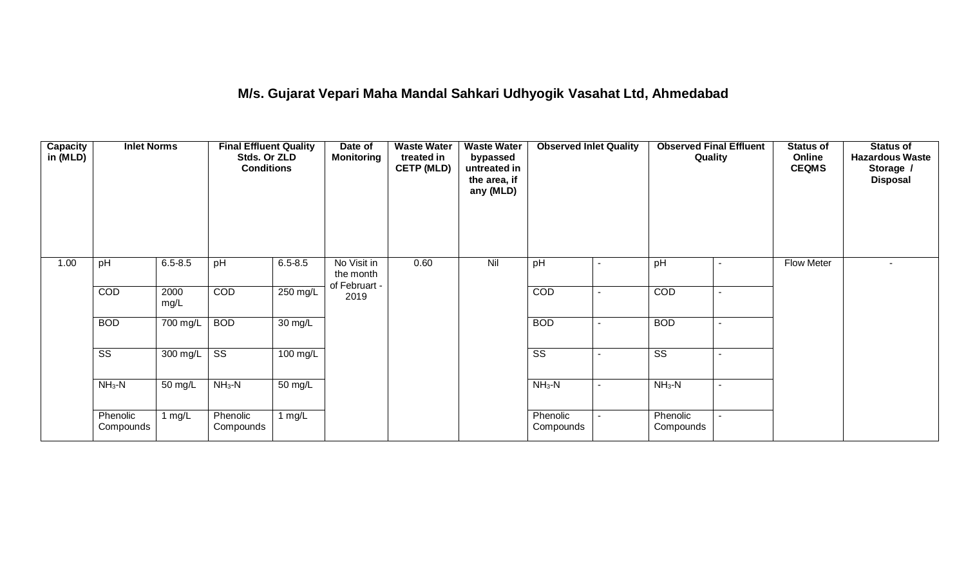## **M/s. Gujarat Vepari Maha Mandal Sahkari Udhyogik Vasahat Ltd, Ahmedabad**

| Capacity<br>in (MLD) | <b>Inlet Norms</b>    |              | <b>Final Effluent Quality</b><br>Stds. Or ZLD<br><b>Conditions</b> |             | Date of<br><b>Monitoring</b>              | <b>Waste Water</b><br>treated in<br><b>CETP (MLD)</b> | <b>Waste Water</b><br>bypassed<br>untreated in<br>the area, if<br>any (MLD) | <b>Observed Inlet Quality</b> |                | <b>Observed Final Effluent</b><br>Quality |                | <b>Status of</b><br>Online<br><b>CEQMS</b> | <b>Status of</b><br><b>Hazardous Waste</b><br>Storage /<br><b>Disposal</b> |
|----------------------|-----------------------|--------------|--------------------------------------------------------------------|-------------|-------------------------------------------|-------------------------------------------------------|-----------------------------------------------------------------------------|-------------------------------|----------------|-------------------------------------------|----------------|--------------------------------------------|----------------------------------------------------------------------------|
| 1.00                 | pH                    | $6.5 - 8.5$  | pH                                                                 | $6.5 - 8.5$ | No Visit in<br>the month<br>of Februart - | 0.60                                                  | Nil                                                                         | pH                            | $\sim$         | pH                                        | $\sim$         | Flow Meter                                 | $\overline{\phantom{a}}$                                                   |
|                      | COD                   | 2000<br>mg/L | <b>COD</b>                                                         | 250 mg/L    | 2019                                      |                                                       |                                                                             | COD                           | $\blacksquare$ | COD                                       | $\blacksquare$ |                                            |                                                                            |
|                      | <b>BOD</b>            | 700 mg/L     | <b>BOD</b>                                                         | 30 mg/L     |                                           |                                                       |                                                                             | <b>BOD</b>                    | $\sim$         | <b>BOD</b>                                | $\sim$         |                                            |                                                                            |
|                      | SS                    | 300 mg/L     | SS                                                                 | 100 mg/L    |                                           |                                                       |                                                                             | SS                            | $\sim$         | SS                                        | $\sim$         |                                            |                                                                            |
|                      | $NH3-N$               | 50 mg/L      | $NH3-N$                                                            | 50 mg/L     |                                           |                                                       |                                                                             | $NH_3-N$                      | $\sim$         | $NH3-N$                                   | $\sim$         |                                            |                                                                            |
|                      | Phenolic<br>Compounds | 1 $mg/L$     | Phenolic<br>Compounds                                              | 1 $mg/L$    |                                           |                                                       |                                                                             | Phenolic<br>Compounds         | $\sim$         | Phenolic<br>Compounds                     | $\sim$         |                                            |                                                                            |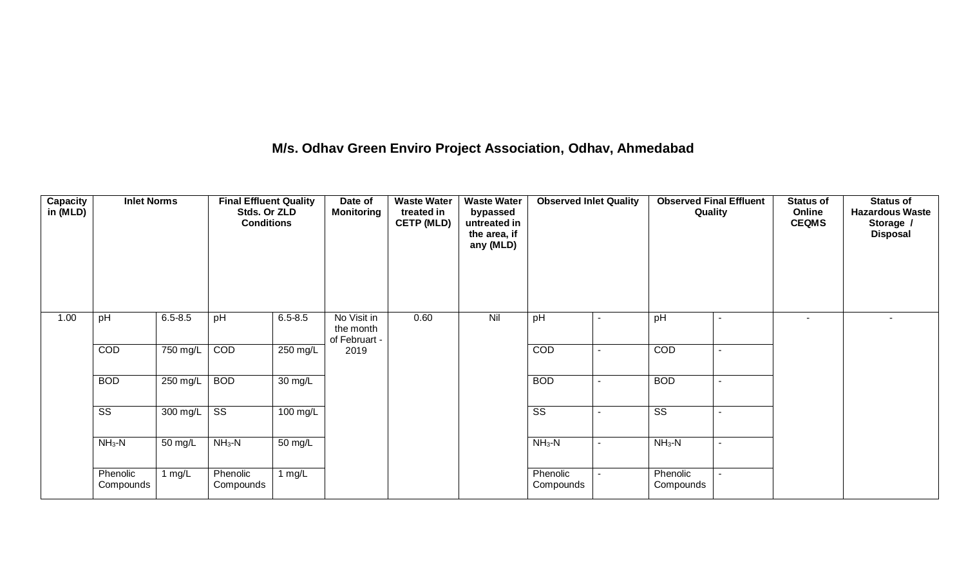# **M/s. Odhav Green Enviro Project Association, Odhav, Ahmedabad**

| <b>Capacity</b><br>in (MLD) | <b>Inlet Norms</b>    |             | <b>Final Effluent Quality</b><br>Stds. Or ZLD<br><b>Conditions</b> |             | Date of<br><b>Monitoring</b>              | <b>Waste Water</b><br>treated in<br><b>CETP (MLD)</b> | <b>Waste Water</b><br>bypassed<br>untreated in<br>the area, if<br>any (MLD) | <b>Observed Inlet Quality</b> |                          | <b>Observed Final Effluent</b><br>Quality |                          | <b>Status of</b><br>Online<br><b>CEQMS</b> | <b>Status of</b><br><b>Hazardous Waste</b><br>Storage /<br><b>Disposal</b> |
|-----------------------------|-----------------------|-------------|--------------------------------------------------------------------|-------------|-------------------------------------------|-------------------------------------------------------|-----------------------------------------------------------------------------|-------------------------------|--------------------------|-------------------------------------------|--------------------------|--------------------------------------------|----------------------------------------------------------------------------|
| 1.00                        | pH                    | $6.5 - 8.5$ | pH                                                                 | $6.5 - 8.5$ | No Visit in<br>the month<br>of Februart - | 0.60                                                  | Nil                                                                         | pH                            |                          | pH                                        |                          | $\blacksquare$                             | $\sim$                                                                     |
|                             | COD                   | 750 mg/L    | COD                                                                | 250 mg/L    | 2019                                      |                                                       |                                                                             | COD                           | $\blacksquare$           | <b>COD</b>                                | $\sim$                   |                                            |                                                                            |
|                             | <b>BOD</b>            | 250 mg/L    | <b>BOD</b>                                                         | 30 mg/L     |                                           |                                                       |                                                                             | <b>BOD</b>                    | $\overline{\phantom{a}}$ | <b>BOD</b>                                | $\overline{\phantom{a}}$ |                                            |                                                                            |
|                             | SS                    | 300 mg/L    | $\overline{\text{ss}}$                                             | 100 mg/L    |                                           |                                                       |                                                                             | SS                            |                          | $\overline{\text{ss}}$                    |                          |                                            |                                                                            |
|                             | $NH3-N$               | 50 mg/L     | $NH3-N$                                                            | 50 mg/L     |                                           |                                                       |                                                                             | $NH3-N$                       | $\sim$                   | $NH_3-N$                                  | $\sim$                   |                                            |                                                                            |
|                             | Phenolic<br>Compounds | 1 $mg/L$    | Phenolic<br>Compounds                                              | 1 $mg/L$    |                                           |                                                       |                                                                             | Phenolic<br>Compounds         |                          | Phenolic<br>Compounds                     | $\sim$                   |                                            |                                                                            |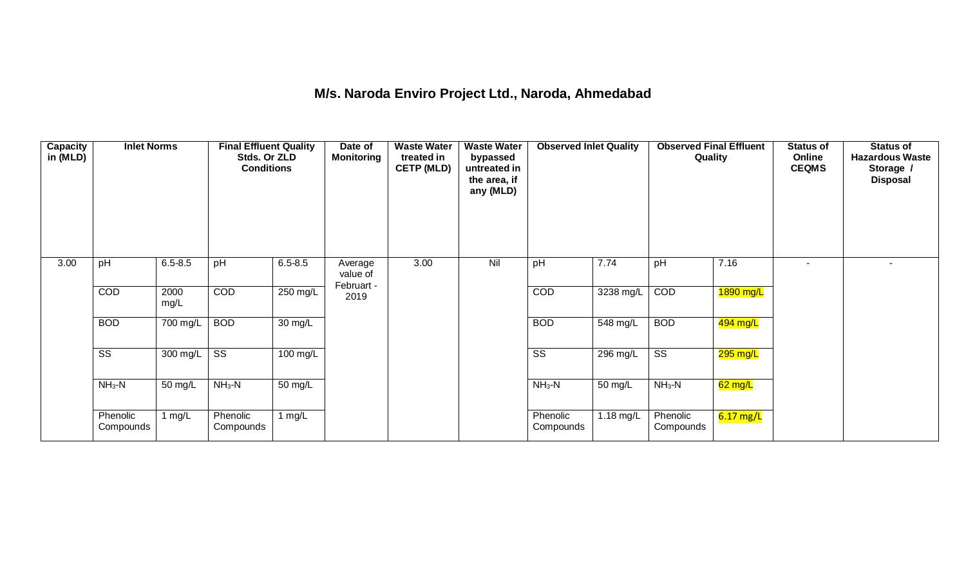### **M/s. Naroda Enviro Project Ltd., Naroda, Ahmedabad**

| Capacity<br>in (MLD) | <b>Inlet Norms</b>    |              | <b>Final Effluent Quality</b><br>Stds. Or ZLD<br><b>Conditions</b> |             | Date of<br><b>Monitoring</b>      | <b>Waste Water</b><br>treated in<br><b>CETP (MLD)</b> | <b>Waste Water</b><br>bypassed<br>untreated in<br>the area, if<br>any (MLD) | <b>Observed Inlet Quality</b> |           | <b>Observed Final Effluent</b><br>Quality |             | <b>Status of</b><br>Online<br><b>CEQMS</b> | <b>Status of</b><br><b>Hazardous Waste</b><br>Storage /<br><b>Disposal</b> |
|----------------------|-----------------------|--------------|--------------------------------------------------------------------|-------------|-----------------------------------|-------------------------------------------------------|-----------------------------------------------------------------------------|-------------------------------|-----------|-------------------------------------------|-------------|--------------------------------------------|----------------------------------------------------------------------------|
| 3.00                 | pH                    | $6.5 - 8.5$  | pH                                                                 | $6.5 - 8.5$ | Average<br>value of<br>Februart - | 3.00                                                  | Nil                                                                         | pH                            | 7.74      | pH                                        | 7.16        | $\sim$                                     |                                                                            |
|                      | COD                   | 2000<br>mg/L | <b>COD</b>                                                         | 250 mg/L    | 2019                              |                                                       |                                                                             | COD                           | 3238 mg/L | COD                                       | 1890 mg/L   |                                            |                                                                            |
|                      | <b>BOD</b>            | 700 mg/L     | <b>BOD</b>                                                         | 30 mg/L     |                                   |                                                       |                                                                             | <b>BOD</b>                    | 548 mg/L  | <b>BOD</b>                                | 494 mg/L    |                                            |                                                                            |
|                      | SS                    | 300 mg/L     | SS                                                                 | 100 mg/L    |                                   |                                                       |                                                                             | $\overline{\text{SS}}$        | 296 mg/L  | $\overline{\text{ss}}$                    | 295 mg/L    |                                            |                                                                            |
|                      | $NH3-N$               | 50 mg/L      | $NH3-N$                                                            | 50 mg/L     |                                   |                                                       |                                                                             | $NH3-N$                       | 50 mg/L   | $NH3-N$                                   | $62$ mg/L   |                                            |                                                                            |
|                      | Phenolic<br>Compounds | 1 $mg/L$     | Phenolic<br>Compounds                                              | 1 $mg/L$    |                                   |                                                       |                                                                             | Phenolic<br>Compounds         | 1.18 mg/L | Phenolic<br>Compounds                     | $6.17$ mg/L |                                            |                                                                            |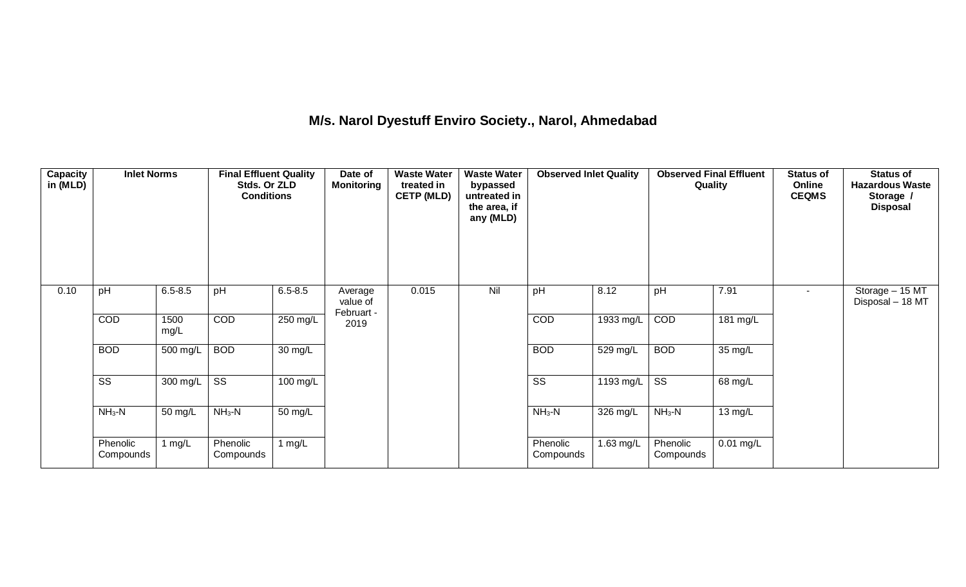### **M/s. Narol Dyestuff Enviro Society., Narol, Ahmedabad**

| Capacity<br>in (MLD) | <b>Inlet Norms</b>    |              | <b>Final Effluent Quality</b><br>Stds. Or ZLD<br><b>Conditions</b> |             | Date of<br><b>Monitoring</b>      | <b>Waste Water</b><br>treated in<br><b>CETP (MLD)</b> | <b>Waste Water</b><br>bypassed<br>untreated in<br>the area, if<br>any (MLD) | <b>Observed Inlet Quality</b> |           | <b>Observed Final Effluent</b><br>Quality |                   | <b>Status of</b><br>Online<br><b>CEQMS</b> | <b>Status of</b><br><b>Hazardous Waste</b><br>Storage /<br><b>Disposal</b> |
|----------------------|-----------------------|--------------|--------------------------------------------------------------------|-------------|-----------------------------------|-------------------------------------------------------|-----------------------------------------------------------------------------|-------------------------------|-----------|-------------------------------------------|-------------------|--------------------------------------------|----------------------------------------------------------------------------|
| 0.10                 | pH                    | $6.5 - 8.5$  | pH                                                                 | $6.5 - 8.5$ | Average<br>value of<br>Februart - | 0.015                                                 | Nil                                                                         | pH                            | 8.12      | pH                                        | 7.91              | $\sim$                                     | Storage - 15 MT<br>Disposal - 18 MT                                        |
|                      | COD                   | 1500<br>mg/L | <b>COD</b>                                                         | 250 mg/L    | 2019                              |                                                       |                                                                             | COD                           | 1933 mg/L | COD                                       | 181 mg/L          |                                            |                                                                            |
|                      | <b>BOD</b>            | 500 mg/L     | <b>BOD</b>                                                         | 30 mg/L     |                                   |                                                       |                                                                             | <b>BOD</b>                    | 529 mg/L  | <b>BOD</b>                                | 35 mg/L           |                                            |                                                                            |
|                      | SS                    | 300 mg/L     | SS                                                                 | 100 mg/L    |                                   |                                                       |                                                                             | $\overline{\text{ss}}$        | 1193 mg/L | $\overline{\text{ss}}$                    | 68 mg/L           |                                            |                                                                            |
|                      | $NH3-N$               | 50 mg/L      | $NH3-N$                                                            | 50 mg/L     |                                   |                                                       |                                                                             | $NH3-N$                       | 326 mg/L  | $NH3-N$                                   | $13 \text{ mg/L}$ |                                            |                                                                            |
|                      | Phenolic<br>Compounds | 1 mg/L       | Phenolic<br>Compounds                                              | $1$ mg/L    |                                   |                                                       |                                                                             | Phenolic<br>Compounds         | 1.63 mg/L | Phenolic<br>Compounds                     | $0.01$ mg/L       |                                            |                                                                            |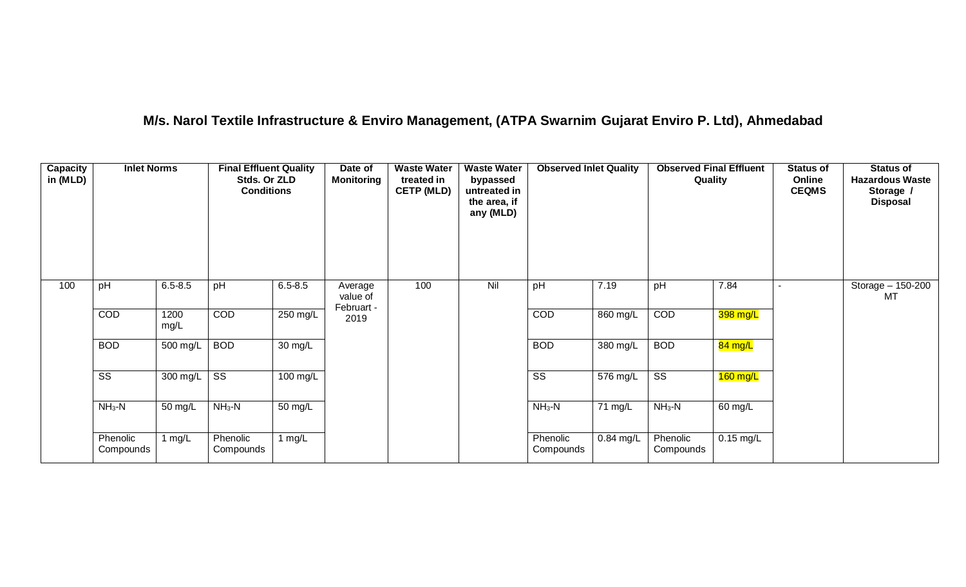### **M/s. Narol Textile Infrastructure & Enviro Management, (ATPA Swarnim Gujarat Enviro P. Ltd), Ahmedabad**

| Capacity<br>in (MLD) | <b>Inlet Norms</b>    |              | <b>Final Effluent Quality</b><br>Stds. Or ZLD<br><b>Conditions</b> |             | Date of<br><b>Monitoring</b> | <b>Waste Water</b><br>treated in<br><b>CETP (MLD)</b> | <b>Waste Water</b><br>bypassed<br>untreated in<br>the area, if<br>any (MLD) | <b>Observed Inlet Quality</b> |                       | <b>Observed Final Effluent</b><br>Quality |             | <b>Status of</b><br>Online<br><b>CEQMS</b> | <b>Status of</b><br><b>Hazardous Waste</b><br>Storage /<br><b>Disposal</b> |
|----------------------|-----------------------|--------------|--------------------------------------------------------------------|-------------|------------------------------|-------------------------------------------------------|-----------------------------------------------------------------------------|-------------------------------|-----------------------|-------------------------------------------|-------------|--------------------------------------------|----------------------------------------------------------------------------|
| 100                  | pH                    | $6.5 - 8.5$  | pH                                                                 | $6.5 - 8.5$ | Average<br>value of          | 100                                                   | Nil                                                                         | pH                            | 7.19                  | pH                                        | 7.84        |                                            | Storage - 150-200<br>MT                                                    |
|                      | COD                   | 1200<br>mg/L | <b>COD</b>                                                         | 250 mg/L    | Februart -<br>2019           |                                                       |                                                                             | <b>COD</b>                    | 860 mg/L              | COD                                       | 398 mg/L    |                                            |                                                                            |
|                      | <b>BOD</b>            | 500 mg/L     | <b>BOD</b>                                                         | 30 mg/L     |                              |                                                       |                                                                             | <b>BOD</b>                    | 380 mg/L              | <b>BOD</b>                                | 84 mg/L     |                                            |                                                                            |
|                      | SS                    | 300 mg/L     | $\overline{\text{ss}}$                                             | 100 mg/L    |                              |                                                       |                                                                             | $\overline{\text{SS}}$        | $\overline{576}$ mg/L | $\overline{\text{SS}}$                    | $160$ mg/L  |                                            |                                                                            |
|                      | $NH3-N$               | 50 mg/L      | $NH3-N$                                                            | 50 mg/L     |                              |                                                       |                                                                             | $NH3-N$                       | 71 mg/L               | $NH_3-N$                                  | 60 mg/L     |                                            |                                                                            |
|                      | Phenolic<br>Compounds | 1 $mg/L$     | Phenolic<br>Compounds                                              | 1 $mg/L$    |                              |                                                       |                                                                             | Phenolic<br>Compounds         | 0.84 mg/L             | Phenolic<br>Compounds                     | $0.15$ mg/L |                                            |                                                                            |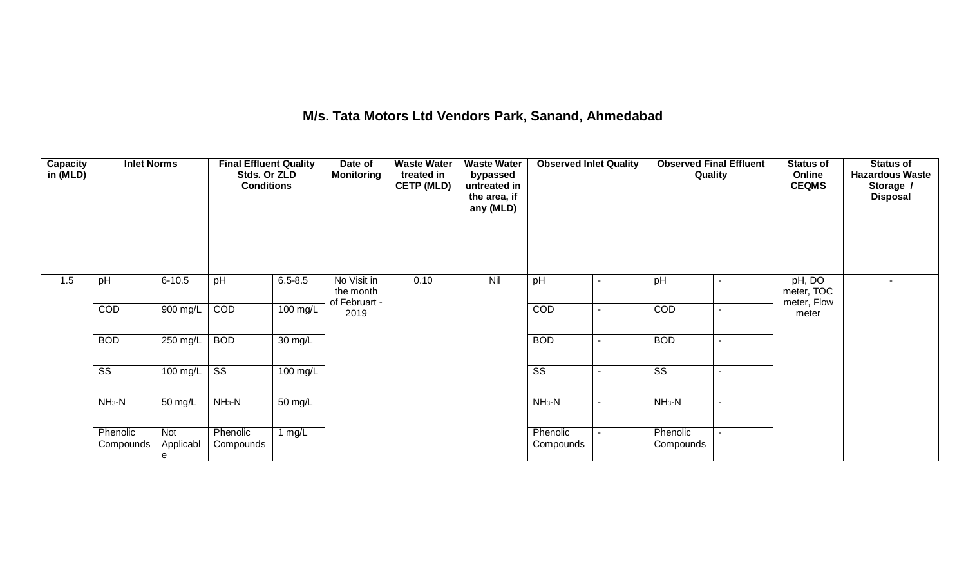## **M/s. Tata Motors Ltd Vendors Park, Sanand, Ahmedabad**

| Capacity<br>in (MLD) | <b>Inlet Norms</b>    |                       | <b>Final Effluent Quality</b><br>Stds. Or ZLD<br><b>Conditions</b> |                   | Date of<br><b>Monitoring</b>              | <b>Waste Water</b><br>treated in<br><b>CETP (MLD)</b> | <b>Waste Water</b><br>bypassed<br>untreated in<br>the area, if<br>any (MLD) | <b>Observed Inlet Quality</b> |                          | <b>Observed Final Effluent</b><br>Quality |                | <b>Status of</b><br>Online<br><b>CEQMS</b> | <b>Status of</b><br><b>Hazardous Waste</b><br>Storage /<br><b>Disposal</b> |
|----------------------|-----------------------|-----------------------|--------------------------------------------------------------------|-------------------|-------------------------------------------|-------------------------------------------------------|-----------------------------------------------------------------------------|-------------------------------|--------------------------|-------------------------------------------|----------------|--------------------------------------------|----------------------------------------------------------------------------|
| 1.5                  | pH                    | $6 - 10.5$            | pH                                                                 | $6.5 - 8.5$       | No Visit in<br>the month<br>of Februart - | 0.10                                                  | Nil                                                                         | pH                            | $\sim$                   | pH                                        | $\blacksquare$ | pH, DO<br>meter, TOC<br>meter, Flow        | $\sim$                                                                     |
|                      | COD                   | 900 mg/L              | COD                                                                | 100 mg/L          | 2019                                      |                                                       |                                                                             | COD                           | $\overline{\phantom{a}}$ | COD                                       | $\blacksquare$ | meter                                      |                                                                            |
|                      | <b>BOD</b>            | 250 mg/L              | <b>BOD</b>                                                         | $30 \text{ mg/L}$ |                                           |                                                       |                                                                             | <b>BOD</b>                    |                          | <b>BOD</b>                                | $\blacksquare$ |                                            |                                                                            |
|                      | SS                    | 100 mg/L              | $\overline{\text{SS}}$                                             | 100 mg/L          |                                           |                                                       |                                                                             | $\overline{\text{SS}}$        |                          | $\overline{\text{ss}}$                    | $\sim$         |                                            |                                                                            |
|                      | $NH3-N$               | 50 mg/L               | $NH3-N$                                                            | 50 mg/L           |                                           |                                                       |                                                                             | $NH3-N$                       | $\sim$                   | $NH3-N$                                   | $\sim$         |                                            |                                                                            |
|                      | Phenolic<br>Compounds | Not<br>Applicabl<br>e | Phenolic<br>Compounds                                              | 1 $mg/L$          |                                           |                                                       |                                                                             | Phenolic<br>Compounds         | $\blacksquare$           | Phenolic<br>Compounds                     | $\sim$         |                                            |                                                                            |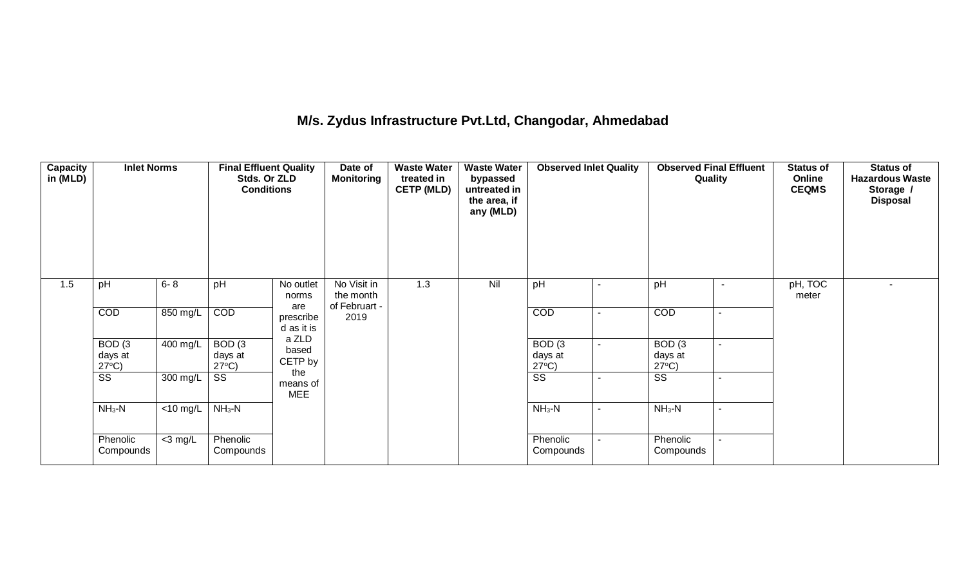### **M/s. Zydus Infrastructure Pvt.Ltd, Changodar, Ahmedabad**

| Capacity<br>in (MLD) | <b>Inlet Norms</b>                              |             | <b>Final Effluent Quality</b><br>Stds. Or ZLD<br><b>Conditions</b> |                                | Date of<br><b>Monitoring</b>              | <b>Waste Water</b><br>treated in<br><b>CETP (MLD)</b> | <b>Waste Water</b><br>bypassed<br>untreated in<br>the area, if<br>any (MLD) | <b>Observed Inlet Quality</b>                   |                          | <b>Observed Final Effluent</b><br>Quality       |                          | <b>Status of</b><br>Online<br><b>CEQMS</b> | <b>Status of</b><br><b>Hazardous Waste</b><br>Storage /<br><b>Disposal</b> |
|----------------------|-------------------------------------------------|-------------|--------------------------------------------------------------------|--------------------------------|-------------------------------------------|-------------------------------------------------------|-----------------------------------------------------------------------------|-------------------------------------------------|--------------------------|-------------------------------------------------|--------------------------|--------------------------------------------|----------------------------------------------------------------------------|
| 1.5                  | pH                                              | $6 - 8$     | pH                                                                 | No outlet<br>norms             | No Visit in<br>the month<br>of Februart - | 1.3                                                   | Nil                                                                         | pH                                              | $\blacksquare$           | pH                                              | $\overline{\phantom{a}}$ | pH, TOC<br>meter                           | $\overline{\phantom{0}}$                                                   |
|                      | COD                                             | 850 mg/L    | COD                                                                | are<br>prescribe<br>d as it is | 2019                                      |                                                       |                                                                             | COD                                             | $\sim$                   | COD                                             | $\sim$                   |                                            |                                                                            |
|                      | BOD <sub>(3</sub><br>days at<br>$27^{\circ}C$ ) | 400 mg/L    | BOD <sub>(3</sub><br>days at<br>$27^{\circ}C$ )                    | a ZLD<br>based<br>CETP by      |                                           |                                                       |                                                                             | BOD <sub>(3</sub><br>days at<br>$27^{\circ}$ C) | $\sim$                   | BOD <sub>(3</sub><br>days at<br>$27^{\circ}C$ ) | $\sim$                   |                                            |                                                                            |
|                      | SS                                              | 300 mg/L    | SS                                                                 | the<br>means of<br><b>MEE</b>  |                                           |                                                       |                                                                             | SS                                              | $\overline{\phantom{0}}$ | SS                                              | $\blacksquare$           |                                            |                                                                            |
|                      | $NH3-N$                                         | $<$ 10 mg/L | $NH3-N$                                                            |                                |                                           |                                                       |                                                                             | $NH3-N$                                         | $\sim$                   | $NH3-N$                                         | $\sim$                   |                                            |                                                                            |
|                      | Phenolic<br>Compounds                           | $<$ 3 mg/L  | Phenolic<br>Compounds                                              |                                |                                           |                                                       |                                                                             | Phenolic<br>Compounds                           | ٠                        | Phenolic<br>Compounds                           | $\blacksquare$           |                                            |                                                                            |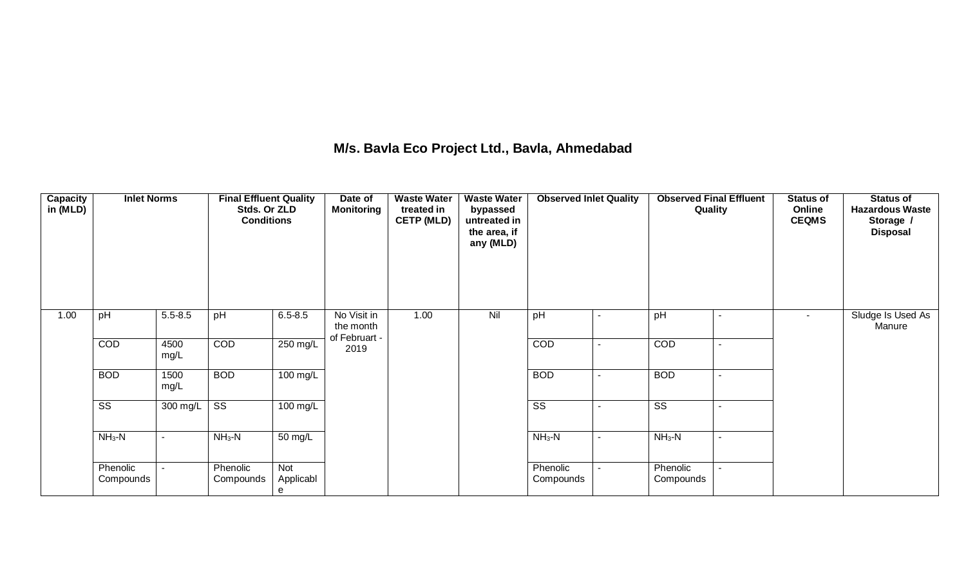## **M/s. Bavla Eco Project Ltd., Bavla, Ahmedabad**

| <b>Capacity</b><br>in (MLD) | <b>Inlet Norms</b>    |              | <b>Final Effluent Quality</b><br>Stds. Or ZLD<br><b>Conditions</b> |                       | Date of<br><b>Monitoring</b>              | <b>Waste Water</b><br>treated in<br><b>CETP (MLD)</b> | <b>Waste Water</b><br>bypassed<br>untreated in<br>the area, if<br>any (MLD) | <b>Observed Inlet Quality</b> |                | <b>Observed Final Effluent</b><br>Quality |                | <b>Status of</b><br>Online<br><b>CEQMS</b> | <b>Status of</b><br><b>Hazardous Waste</b><br>Storage /<br><b>Disposal</b> |
|-----------------------------|-----------------------|--------------|--------------------------------------------------------------------|-----------------------|-------------------------------------------|-------------------------------------------------------|-----------------------------------------------------------------------------|-------------------------------|----------------|-------------------------------------------|----------------|--------------------------------------------|----------------------------------------------------------------------------|
| 1.00                        | pH                    | $5.5 - 8.5$  | pH                                                                 | $6.5 - 8.5$           | No Visit in<br>the month<br>of Februart - | 1.00                                                  | Nil                                                                         | pH                            | $\sim$         | pH                                        | $\blacksquare$ | $\sim$                                     | Sludge Is Used As<br>Manure                                                |
|                             | <b>COD</b>            | 4500<br>mg/L | <b>COD</b>                                                         | 250 mg/L              | 2019                                      |                                                       |                                                                             | <b>COD</b>                    | $\sim$         | COD                                       | ۰.             |                                            |                                                                            |
|                             | <b>BOD</b>            | 1500<br>mg/L | <b>BOD</b>                                                         | 100 mg/L              |                                           |                                                       |                                                                             | <b>BOD</b>                    | $\sim$         | <b>BOD</b>                                | ۰.             |                                            |                                                                            |
|                             | SS                    | 300 mg/L     | $\overline{\text{ss}}$                                             | 100 mg/L              |                                           |                                                       |                                                                             | $\overline{\text{SS}}$        | $\blacksquare$ | $\overline{\text{ss}}$                    | $\sim$         |                                            |                                                                            |
|                             | $NH_3-N$              | $\sim$       | $NH3-N$                                                            | 50 mg/L               |                                           |                                                       |                                                                             | $NH_3-N$                      | $\sim$         | $NH3-N$                                   | $\sim$         |                                            |                                                                            |
|                             | Phenolic<br>Compounds | $\sim$       | Phenolic<br>Compounds                                              | Not<br>Applicabl<br>е |                                           |                                                       |                                                                             | Phenolic<br>Compounds         | $\sim$         | Phenolic<br>Compounds                     | $\sim$         |                                            |                                                                            |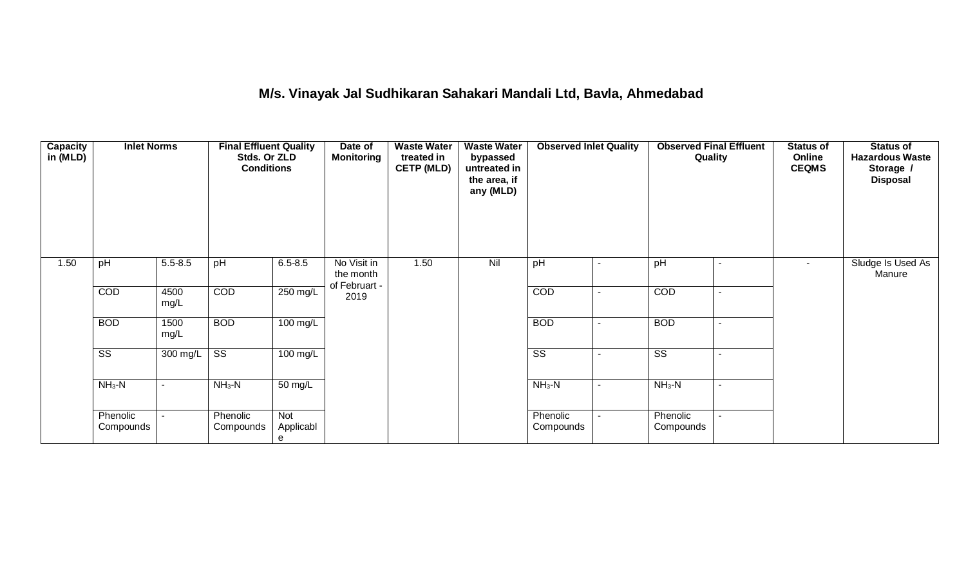## **M/s. Vinayak Jal Sudhikaran Sahakari Mandali Ltd, Bavla, Ahmedabad**

| Capacity<br>in (MLD) | <b>Inlet Norms</b>    |              | <b>Final Effluent Quality</b><br>Stds. Or ZLD<br><b>Conditions</b> |                       | Date of<br><b>Monitoring</b>              | <b>Waste Water</b><br>treated in<br><b>CETP (MLD)</b> | <b>Waste Water</b><br>bypassed<br>untreated in<br>the area, if<br>any (MLD) | <b>Observed Inlet Quality</b> |                | <b>Observed Final Effluent</b><br>Quality | <b>Status of</b><br>Online<br><b>CEQMS</b> | Status of<br><b>Hazardous Waste</b><br>Storage /<br><b>Disposal</b> |
|----------------------|-----------------------|--------------|--------------------------------------------------------------------|-----------------------|-------------------------------------------|-------------------------------------------------------|-----------------------------------------------------------------------------|-------------------------------|----------------|-------------------------------------------|--------------------------------------------|---------------------------------------------------------------------|
| 1.50                 | pH                    | $5.5 - 8.5$  | pH                                                                 | $6.5 - 8.5$           | No Visit in<br>the month<br>of Februart - | 1.50                                                  | Nil                                                                         | pH                            | $\blacksquare$ | pH<br>$\blacksquare$                      | $\sim$                                     | Sludge Is Used As<br>Manure                                         |
|                      | COD                   | 4500<br>mg/L | <b>COD</b>                                                         | 250 mg/L              | 2019                                      |                                                       |                                                                             | COD                           | $\sim$         | COD<br>$\sim$                             |                                            |                                                                     |
|                      | <b>BOD</b>            | 1500<br>mg/L | <b>BOD</b>                                                         | $100 \text{ mg/L}$    |                                           |                                                       |                                                                             | <b>BOD</b>                    | $\blacksquare$ | <b>BOD</b><br>$\overline{\phantom{0}}$    |                                            |                                                                     |
|                      | SS                    | 300 mg/L     | SS                                                                 | 100 mg/L              |                                           |                                                       |                                                                             | SS                            |                | SS                                        |                                            |                                                                     |
|                      | $NH3-N$               | $\sim$       | $NH3-N$                                                            | 50 mg/L               |                                           |                                                       |                                                                             | $NH3-N$                       | $\sim$         | $NH3-N$<br>$\blacksquare$                 |                                            |                                                                     |
|                      | Phenolic<br>Compounds | $\sim$       | Phenolic<br>Compounds                                              | Not<br>Applicabl<br>е |                                           |                                                       |                                                                             | Phenolic<br>Compounds         |                | Phenolic<br>Compounds                     |                                            |                                                                     |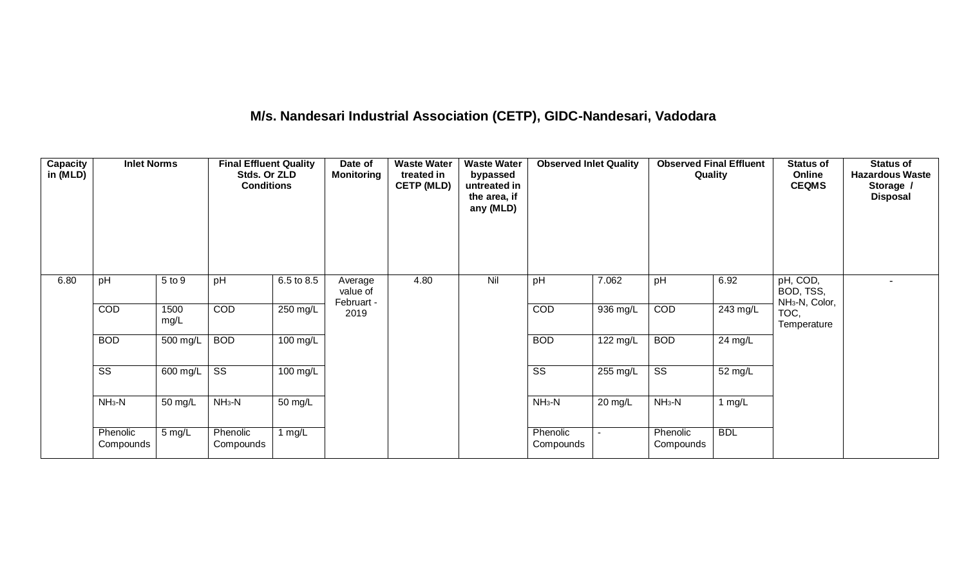# **M/s. Nandesari Industrial Association (CETP), GIDC-Nandesari, Vadodara**

| Capacity<br>in (MLD) | <b>Inlet Norms</b>     |              | <b>Final Effluent Quality</b><br>Stds. Or ZLD<br><b>Conditions</b> |            | Date of<br><b>Monitoring</b>      | <b>Waste Water</b><br>treated in<br><b>CETP (MLD)</b> | <b>Waste Water</b><br>bypassed<br>untreated in<br>the area, if<br>any (MLD) | <b>Observed Inlet Quality</b> |                       | <b>Observed Final Effluent</b><br>Quality |            | <b>Status of</b><br>Online<br><b>CEQMS</b>          | <b>Status of</b><br><b>Hazardous Waste</b><br>Storage /<br><b>Disposal</b> |
|----------------------|------------------------|--------------|--------------------------------------------------------------------|------------|-----------------------------------|-------------------------------------------------------|-----------------------------------------------------------------------------|-------------------------------|-----------------------|-------------------------------------------|------------|-----------------------------------------------------|----------------------------------------------------------------------------|
| 6.80                 | pH                     | 5 to 9       | pH                                                                 | 6.5 to 8.5 | Average<br>value of<br>Februart - | 4.80                                                  | Nil                                                                         | pH                            | 7.062                 | pH                                        | 6.92       | pH, COD,<br>BOD, TSS,<br>NH <sub>3</sub> -N, Color, |                                                                            |
|                      | COD                    | 1500<br>mg/L | COD                                                                | 250 mg/L   | 2019                              |                                                       |                                                                             | COD                           | 936 mg/L              | COD                                       | 243 mg/L   | TOC,<br>Temperature                                 |                                                                            |
|                      | <b>BOD</b>             | 500 mg/L     | <b>BOD</b>                                                         | 100 mg/L   |                                   |                                                       |                                                                             | <b>BOD</b>                    | $\overline{122}$ mg/L | <b>BOD</b>                                | 24 mg/L    |                                                     |                                                                            |
|                      | $\overline{\text{ss}}$ | 600 mg/L     | $\overline{\text{ss}}$                                             | 100 mg/L   |                                   |                                                       |                                                                             | $\overline{\text{SS}}$        | 255 mg/L              | $\overline{\text{SS}}$                    | 52 mg/L    |                                                     |                                                                            |
|                      | $NH3-N$                | 50 mg/L      | $NH3-N$                                                            | 50 mg/L    |                                   |                                                       |                                                                             | $NH3-N$                       | 20 mg/L               | $NH_3-N$                                  | 1 $mg/L$   |                                                     |                                                                            |
|                      | Phenolic<br>Compounds  | 5 mg/L       | Phenolic<br>Compounds                                              | 1 $mg/L$   |                                   |                                                       |                                                                             | Phenolic<br>Compounds         |                       | Phenolic<br>Compounds                     | <b>BDL</b> |                                                     |                                                                            |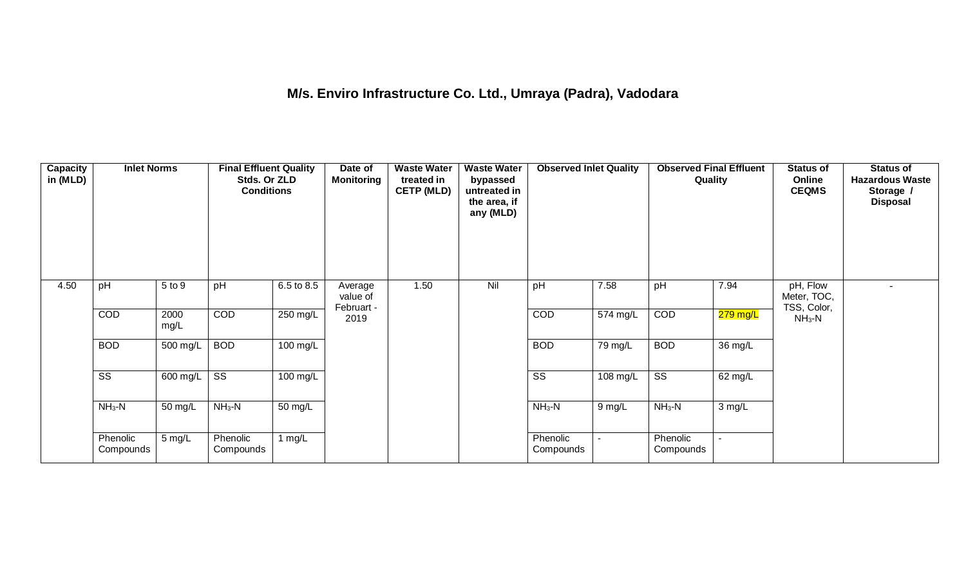## **M/s. Enviro Infrastructure Co. Ltd., Umraya (Padra), Vadodara**

| <b>Capacity</b><br>in (MLD) | <b>Inlet Norms</b>     |              | <b>Final Effluent Quality</b><br>Stds. Or ZLD<br><b>Conditions</b> |            | Date of<br><b>Monitoring</b>      | <b>Waste Water</b><br>treated in<br><b>CETP (MLD)</b> | <b>Waste Water</b><br>bypassed<br>untreated in<br>the area, if<br>any (MLD) | <b>Observed Inlet Quality</b> |                | <b>Observed Final Effluent</b><br>Quality |            | <b>Status of</b><br>Online<br><b>CEQMS</b> | <b>Status of</b><br><b>Hazardous Waste</b><br>Storage /<br><b>Disposal</b> |
|-----------------------------|------------------------|--------------|--------------------------------------------------------------------|------------|-----------------------------------|-------------------------------------------------------|-----------------------------------------------------------------------------|-------------------------------|----------------|-------------------------------------------|------------|--------------------------------------------|----------------------------------------------------------------------------|
| 4.50                        | pH                     | 5 to 9       | pH                                                                 | 6.5 to 8.5 | Average<br>value of<br>Februart - | 1.50                                                  | Nil                                                                         | pH                            | 7.58           | pH                                        | 7.94       | pH, Flow<br>Meter, TOC,<br>TSS, Color,     |                                                                            |
|                             | COD                    | 2000<br>mg/L | <b>COD</b>                                                         | 250 mg/L   | 2019                              |                                                       |                                                                             | COD                           | 574 mg/L       | COD                                       | $279$ mg/L | $NH3-N$                                    |                                                                            |
|                             | <b>BOD</b>             | 500 mg/L     | <b>BOD</b>                                                         | 100 mg/L   |                                   |                                                       |                                                                             | <b>BOD</b>                    | 79 mg/L        | <b>BOD</b>                                | 36 mg/L    |                                            |                                                                            |
|                             | $\overline{\text{ss}}$ | 600 mg/L     | $\overline{\text{ss}}$                                             | 100 mg/L   |                                   |                                                       |                                                                             | $\overline{\text{SS}}$        | 108 mg/L       | $\overline{\text{SS}}$                    | 62 mg/L    |                                            |                                                                            |
|                             | $NH3-N$                | 50 mg/L      | $NH3-N$                                                            | 50 mg/L    |                                   |                                                       |                                                                             | $NH3-N$                       | 9 mg/L         | $NH3-N$                                   | 3 mg/L     |                                            |                                                                            |
|                             | Phenolic<br>Compounds  | 5 mg/L       | Phenolic<br>Compounds                                              | 1 $mg/L$   |                                   |                                                       |                                                                             | Phenolic<br>Compounds         | $\blacksquare$ | Phenolic<br>Compounds                     | ÷.         |                                            |                                                                            |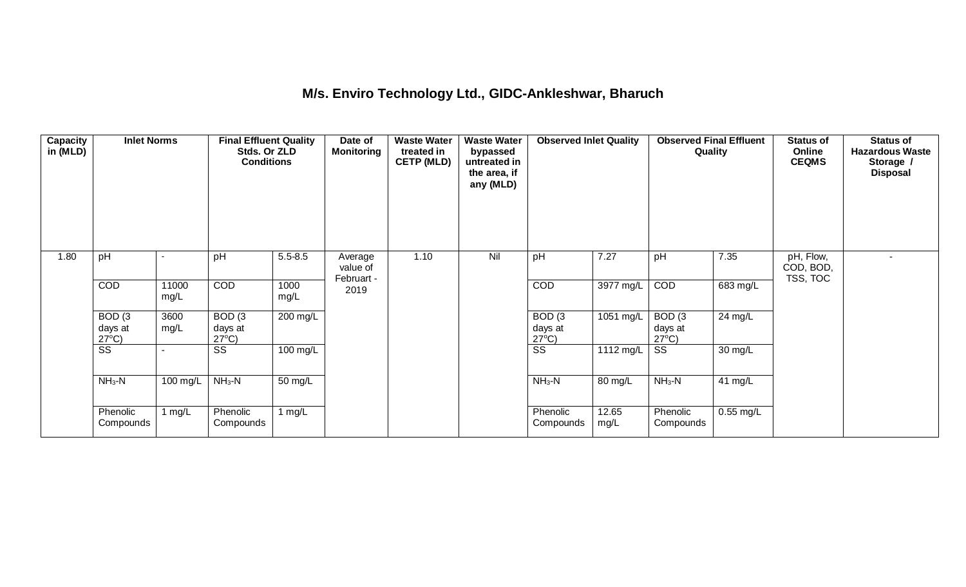## **M/s. Enviro Technology Ltd., GIDC-Ankleshwar, Bharuch**

| Capacity<br>in (MLD) | <b>Inlet Norms</b>                              |               | <b>Final Effluent Quality</b><br>Stds. Or ZLD<br><b>Conditions</b> |              | Date of<br><b>Monitoring</b>      | <b>Waste Water</b><br>treated in<br><b>CETP (MLD)</b> | <b>Waste Water</b><br>bypassed<br>untreated in<br>the area, if<br>any (MLD) | <b>Observed Inlet Quality</b>                   |               | <b>Observed Final Effluent</b><br>Quality       |             | <b>Status of</b><br>Online<br><b>CEQMS</b> | <b>Status of</b><br><b>Hazardous Waste</b><br>Storage /<br><b>Disposal</b> |
|----------------------|-------------------------------------------------|---------------|--------------------------------------------------------------------|--------------|-----------------------------------|-------------------------------------------------------|-----------------------------------------------------------------------------|-------------------------------------------------|---------------|-------------------------------------------------|-------------|--------------------------------------------|----------------------------------------------------------------------------|
| 1.80                 | pH                                              |               | pH                                                                 | $5.5 - 8.5$  | Average<br>value of<br>Februart - | 1.10                                                  | Nil                                                                         | pH                                              | 7.27          | pH                                              | 7.35        | pH, Flow,<br>COD, BOD,<br>TSS, TOC         | $\sim$                                                                     |
|                      | <b>COD</b>                                      | 11000<br>mg/L | <b>COD</b>                                                         | 1000<br>mg/L | 2019                              |                                                       |                                                                             | COD                                             | 3977 mg/L     | COD                                             | 683 mg/L    |                                            |                                                                            |
|                      | BOD <sub>(3</sub><br>days at<br>$27^{\circ}C$ ) | 3600<br>mg/L  | BOD <sub>(3</sub><br>days at<br>$27^{\circ}C$ )                    | 200 mg/L     |                                   |                                                       |                                                                             | BOD <sub>(3</sub><br>days at<br>$27^{\circ}C$ ) | 1051 mg/L     | BOD <sub>(3</sub><br>days at<br>$27^{\circ}$ C) | 24 mg/L     |                                            |                                                                            |
|                      | SS                                              |               | SS                                                                 | 100 mg/L     |                                   |                                                       |                                                                             | SS                                              | 1112 mg/L     | SS                                              | 30 mg/L     |                                            |                                                                            |
|                      | $NH3-N$                                         | 100 mg/L      | $NH3-N$                                                            | 50 mg/L      |                                   |                                                       |                                                                             | $NH_3-N$                                        | 80 mg/L       | $NH3-N$                                         | 41 mg/L     |                                            |                                                                            |
|                      | Phenolic<br>Compounds                           | 1 mg/L        | Phenolic<br>Compounds                                              | 1 $mg/L$     |                                   |                                                       |                                                                             | Phenolic<br>Compounds                           | 12.65<br>mg/L | Phenolic<br>Compounds                           | $0.55$ mg/L |                                            |                                                                            |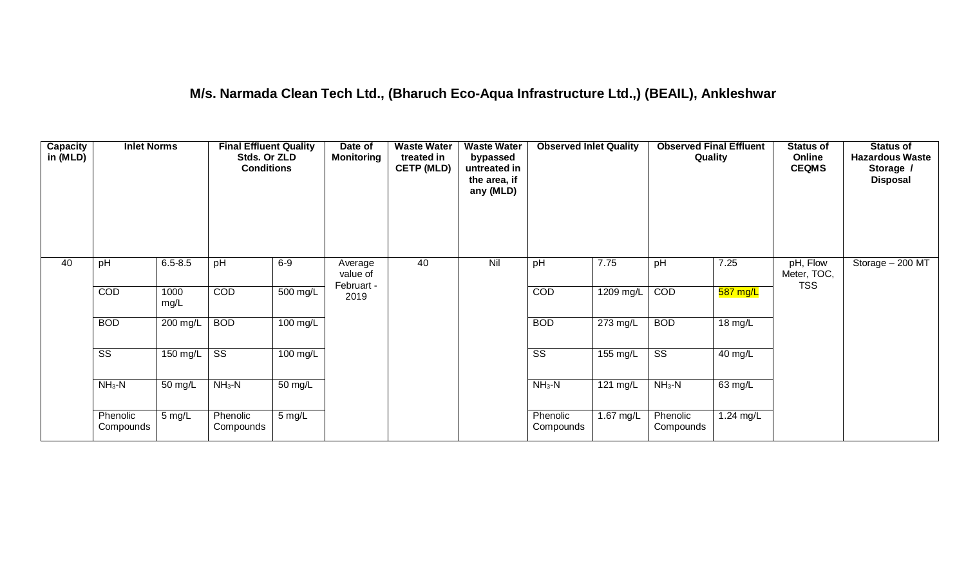## **M/s. Narmada Clean Tech Ltd., (Bharuch Eco-Aqua Infrastructure Ltd.,) (BEAIL), Ankleshwar**

| Capacity<br>in (MLD) | <b>Inlet Norms</b>    |              | <b>Final Effluent Quality</b><br>Stds. Or ZLD<br><b>Conditions</b> |            | Date of<br><b>Monitoring</b>      | <b>Waste Water</b><br>treated in<br><b>CETP (MLD)</b> | <b>Waste Water</b><br>bypassed<br>untreated in<br>the area, if<br>any (MLD) | <b>Observed Inlet Quality</b> |           | <b>Observed Final Effluent</b><br>Quality |                   | <b>Status of</b><br>Online<br><b>CEQMS</b> | <b>Status of</b><br><b>Hazardous Waste</b><br>Storage /<br><b>Disposal</b> |
|----------------------|-----------------------|--------------|--------------------------------------------------------------------|------------|-----------------------------------|-------------------------------------------------------|-----------------------------------------------------------------------------|-------------------------------|-----------|-------------------------------------------|-------------------|--------------------------------------------|----------------------------------------------------------------------------|
| 40                   | pH                    | $6.5 - 8.5$  | pH                                                                 | $6-9$      | Average<br>value of<br>Februart - | 40                                                    | Nil                                                                         | pH                            | 7.75      | pH                                        | 7.25              | pH, Flow<br>Meter, TOC,<br><b>TSS</b>      | Storage - 200 MT                                                           |
|                      | <b>COD</b>            | 1000<br>mg/L | <b>COD</b>                                                         | 500 mg/L   | 2019                              |                                                       |                                                                             | COD                           | 1209 mg/L | COD                                       | 587 mg/L          |                                            |                                                                            |
|                      | <b>BOD</b>            | 200 mg/L     | <b>BOD</b>                                                         | $100$ mg/L |                                   |                                                       |                                                                             | <b>BOD</b>                    | 273 mg/L  | <b>BOD</b>                                | $18 \text{ mg/L}$ |                                            |                                                                            |
|                      | SS                    | 150 mg/L     | SS                                                                 | 100 mg/L   |                                   |                                                       |                                                                             | $\overline{\text{ss}}$        | 155 mg/L  | $\overline{\text{ss}}$                    | 40 mg/L           |                                            |                                                                            |
|                      | $NH3-N$               | 50 mg/L      | $NH3-N$                                                            | 50 mg/L    |                                   |                                                       |                                                                             | $NH3-N$                       | 121 mg/L  | $NH3-N$                                   | 63 mg/L           |                                            |                                                                            |
|                      | Phenolic<br>Compounds | 5 mg/L       | Phenolic<br>Compounds                                              | 5 mg/L     |                                   |                                                       |                                                                             | Phenolic<br>Compounds         | 1.67 mg/L | Phenolic<br>Compounds                     | $1.24$ mg/L       |                                            |                                                                            |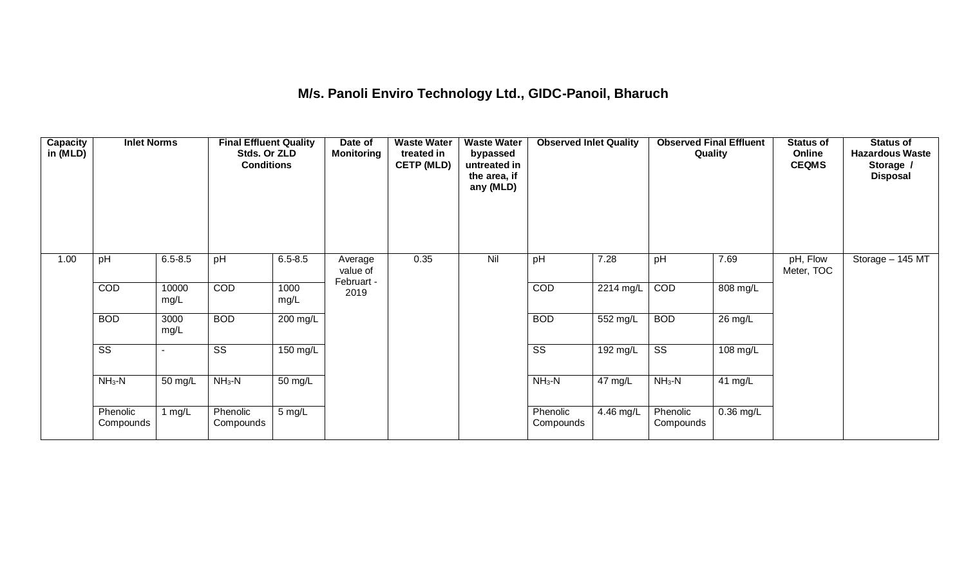# **M/s. Panoli Enviro Technology Ltd., GIDC-Panoil, Bharuch**

| Capacity<br>in (MLD) | <b>Inlet Norms</b>     |               | <b>Final Effluent Quality</b><br>Stds. Or ZLD<br><b>Conditions</b> |              | Date of<br><b>Monitoring</b> | <b>Waste Water</b><br>treated in<br><b>CETP (MLD)</b> | <b>Waste Water</b><br>bypassed<br>untreated in<br>the area, if<br>any (MLD) | <b>Observed Inlet Quality</b> |           | <b>Observed Final Effluent</b><br>Quality |             | <b>Status of</b><br>Online<br><b>CEQMS</b> | <b>Status of</b><br><b>Hazardous Waste</b><br>Storage /<br><b>Disposal</b> |
|----------------------|------------------------|---------------|--------------------------------------------------------------------|--------------|------------------------------|-------------------------------------------------------|-----------------------------------------------------------------------------|-------------------------------|-----------|-------------------------------------------|-------------|--------------------------------------------|----------------------------------------------------------------------------|
| 1.00                 | pH                     | $6.5 - 8.5$   | pH                                                                 | $6.5 - 8.5$  | Average<br>value of          | 0.35                                                  | Nil                                                                         | pH                            | 7.28      | pH                                        | 7.69        | pH, Flow<br>Meter, TOC                     | Storage - 145 MT                                                           |
|                      | <b>COD</b>             | 10000<br>mg/L | COD                                                                | 1000<br>mg/L | Februart -<br>2019           |                                                       |                                                                             | <b>COD</b>                    | 2214 mg/L | COD                                       | 808 mg/L    |                                            |                                                                            |
|                      | <b>BOD</b>             | 3000<br>mg/L  | <b>BOD</b>                                                         | 200 mg/L     |                              |                                                       |                                                                             | <b>BOD</b>                    | 552 mg/L  | <b>BOD</b>                                | 26 mg/L     |                                            |                                                                            |
|                      | $\overline{\text{ss}}$ |               | SS                                                                 | 150 mg/L     |                              |                                                       |                                                                             | $\overline{\text{SS}}$        | 192 mg/L  | $\overline{\text{SS}}$                    | 108 mg/L    |                                            |                                                                            |
|                      | $NH3-N$                | 50 mg/L       | $NH3-N$                                                            | 50 mg/L      |                              |                                                       |                                                                             | $NH3-N$                       | 47 mg/L   | $NH_3-N$                                  | 41 mg/L     |                                            |                                                                            |
|                      | Phenolic<br>Compounds  | 1 $mg/L$      | Phenolic<br>Compounds                                              | 5 mg/L       |                              |                                                       |                                                                             | Phenolic<br>Compounds         | 4.46 mg/L | Phenolic<br>Compounds                     | $0.36$ mg/L |                                            |                                                                            |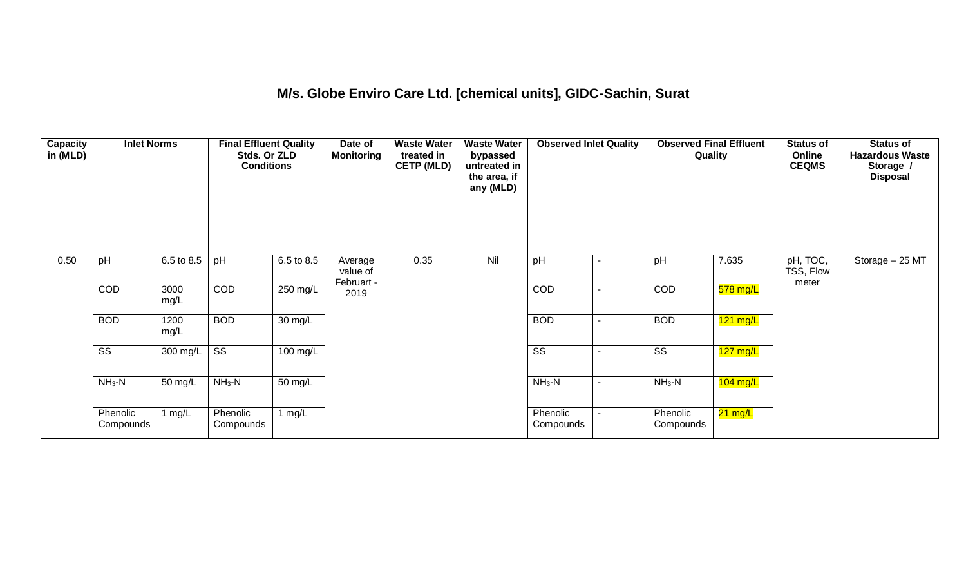## **M/s. Globe Enviro Care Ltd. [chemical units], GIDC-Sachin, Surat**

| Capacity<br>in (MLD) | <b>Inlet Norms</b>     |              | <b>Final Effluent Quality</b><br>Stds. Or ZLD<br><b>Conditions</b> |            | Date of<br><b>Monitoring</b>      | <b>Waste Water</b><br>treated in<br><b>CETP (MLD)</b> | <b>Waste Water</b><br>bypassed<br>untreated in<br>the area, if<br>any (MLD) | <b>Observed Inlet Quality</b> |                          | <b>Observed Final Effluent</b><br>Quality |            | <b>Status of</b><br>Online<br><b>CEQMS</b> | <b>Status of</b><br><b>Hazardous Waste</b><br>Storage /<br><b>Disposal</b> |
|----------------------|------------------------|--------------|--------------------------------------------------------------------|------------|-----------------------------------|-------------------------------------------------------|-----------------------------------------------------------------------------|-------------------------------|--------------------------|-------------------------------------------|------------|--------------------------------------------|----------------------------------------------------------------------------|
| 0.50                 | pH                     | 6.5 to 8.5   | pH                                                                 | 6.5 to 8.5 | Average<br>value of<br>Februart - | 0.35                                                  | Nil                                                                         | pH                            |                          | pH                                        | 7.635      | pH, TOC,<br>TSS, Flow<br>meter             | Storage - 25 MT                                                            |
|                      | COD                    | 3000<br>mg/L | <b>COD</b>                                                         | 250 mg/L   | 2019                              |                                                       |                                                                             | COD                           | $\blacksquare$           | COD                                       | 578 mg/L   |                                            |                                                                            |
|                      | <b>BOD</b>             | 1200<br>mg/L | <b>BOD</b>                                                         | 30 mg/L    |                                   |                                                       |                                                                             | <b>BOD</b>                    | $\sim$                   | <b>BOD</b>                                | $121$ mg/L |                                            |                                                                            |
|                      | $\overline{\text{SS}}$ | 300 mg/L     | $\overline{\text{SS}}$                                             | 100 mg/L   |                                   |                                                       |                                                                             | $\overline{\text{SS}}$        | $\overline{\phantom{a}}$ | $\overline{\text{ss}}$                    | $127$ mg/L |                                            |                                                                            |
|                      | $NH3-N$                | 50 mg/L      | $NH3-N$                                                            | 50 mg/L    |                                   |                                                       |                                                                             | $NH3-N$                       | $\sim$                   | $NH3-N$                                   | $104$ mg/L |                                            |                                                                            |
|                      | Phenolic<br>Compounds  | 1 $mg/L$     | Phenolic<br>Compounds                                              | 1 $mg/L$   |                                   |                                                       |                                                                             | Phenolic<br>Compounds         | $\sim$                   | Phenolic<br>Compounds                     | 21 mg/L    |                                            |                                                                            |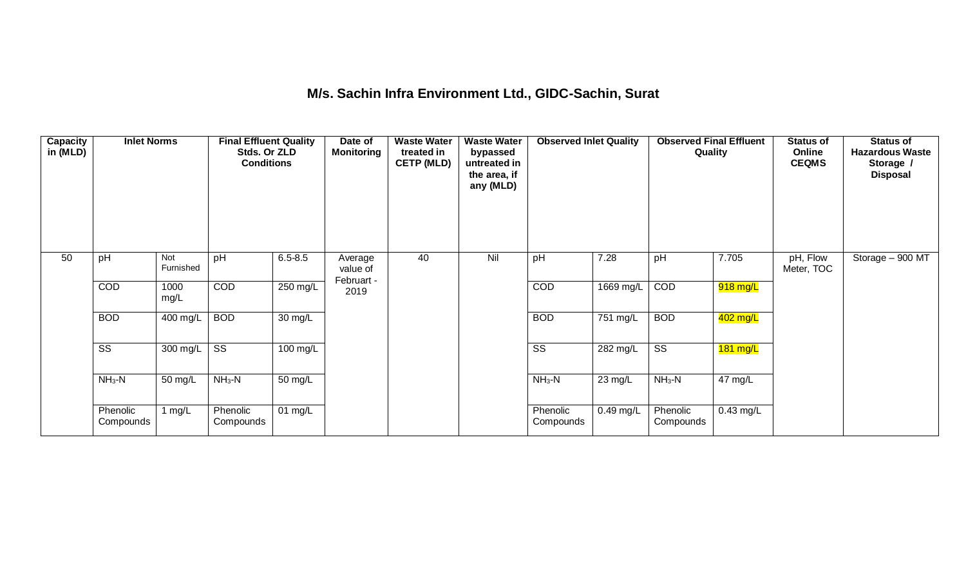### **M/s. Sachin Infra Environment Ltd., GIDC-Sachin, Surat**

| <b>Capacity</b><br>in (MLD) | <b>Inlet Norms</b>    |                  | <b>Final Effluent Quality</b><br>Stds. Or ZLD<br><b>Conditions</b> |             | Date of<br><b>Monitoring</b>      | <b>Waste Water</b><br>treated in<br><b>CETP (MLD)</b> | <b>Waste Water</b><br>bypassed<br>untreated in<br>the area, if<br>any (MLD) | <b>Observed Inlet Quality</b> |             | <b>Observed Final Effluent</b><br>Quality |             | <b>Status of</b><br>Online<br><b>CEQMS</b> | <b>Status of</b><br><b>Hazardous Waste</b><br>Storage /<br><b>Disposal</b> |
|-----------------------------|-----------------------|------------------|--------------------------------------------------------------------|-------------|-----------------------------------|-------------------------------------------------------|-----------------------------------------------------------------------------|-------------------------------|-------------|-------------------------------------------|-------------|--------------------------------------------|----------------------------------------------------------------------------|
| 50                          | pH                    | Not<br>Furnished | pH                                                                 | $6.5 - 8.5$ | Average<br>value of<br>Februart - | 40                                                    | Nil                                                                         | pH                            | 7.28        | pH                                        | 7.705       | pH, Flow<br>Meter, TOC                     | Storage - 900 MT                                                           |
|                             | <b>COD</b>            | 1000<br>mg/L     | <b>COD</b>                                                         | 250 mg/L    | 2019                              |                                                       |                                                                             | COD                           | 1669 mg/L   | COD                                       | 918 mg/L    |                                            |                                                                            |
|                             | <b>BOD</b>            | 400 mg/L         | <b>BOD</b>                                                         | 30 mg/L     |                                   |                                                       |                                                                             | <b>BOD</b>                    | 751 mg/L    | <b>BOD</b>                                | 402 mg/L    |                                            |                                                                            |
|                             | SS                    | 300 mg/L         | SS                                                                 | 100 mg/L    |                                   |                                                       |                                                                             | SS                            | 282 mg/L    | SS                                        | $181$ mg/L  |                                            |                                                                            |
|                             | $NH3-N$               | 50 mg/L          | $NH3-N$                                                            | 50 mg/L     |                                   |                                                       |                                                                             | $NH_3-N$                      | 23 mg/L     | $NH3-N$                                   | 47 mg/L     |                                            |                                                                            |
|                             | Phenolic<br>Compounds | 1 $mg/L$         | Phenolic<br>Compounds                                              | $01$ mg/L   |                                   |                                                       |                                                                             | Phenolic<br>Compounds         | $0.49$ mg/L | Phenolic<br>Compounds                     | $0.43$ mg/L |                                            |                                                                            |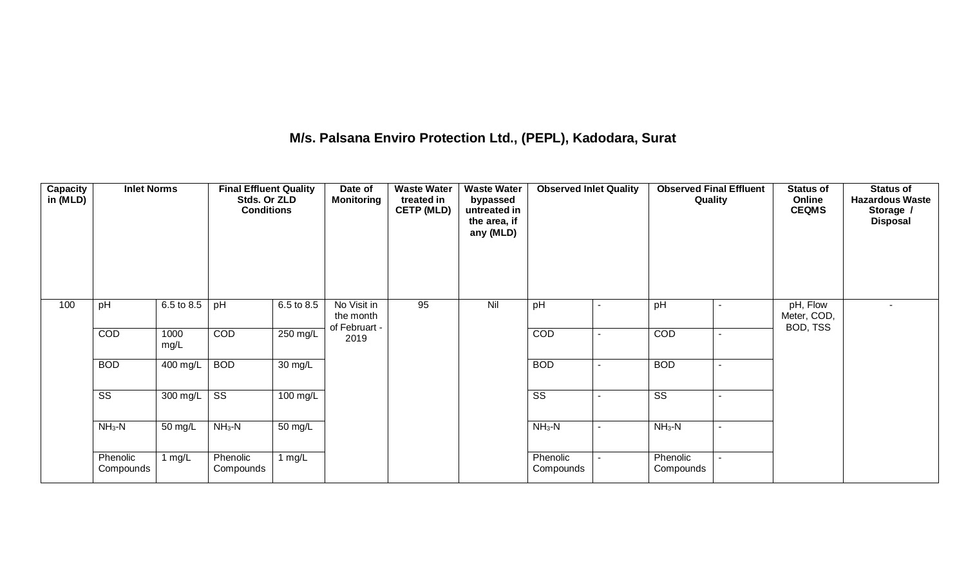# **M/s. Palsana Enviro Protection Ltd., (PEPL), Kadodara, Surat**

| <b>Capacity</b><br>in (MLD) | <b>Inlet Norms</b>    |              | <b>Final Effluent Quality</b><br>Stds. Or ZLD<br><b>Conditions</b> |            | Date of<br><b>Monitoring</b>              | <b>Waste Water</b><br>treated in<br><b>CETP (MLD)</b> | <b>Waste Water</b><br>bypassed<br>untreated in<br>the area, if<br>any (MLD) | <b>Observed Inlet Quality</b> |                | <b>Observed Final Effluent</b><br>Quality |                | <b>Status of</b><br>Online<br><b>CEQMS</b> | <b>Status of</b><br><b>Hazardous Waste</b><br>Storage /<br><b>Disposal</b> |
|-----------------------------|-----------------------|--------------|--------------------------------------------------------------------|------------|-------------------------------------------|-------------------------------------------------------|-----------------------------------------------------------------------------|-------------------------------|----------------|-------------------------------------------|----------------|--------------------------------------------|----------------------------------------------------------------------------|
| 100                         | pH                    | 6.5 to 8.5   | pH                                                                 | 6.5 to 8.5 | No Visit in<br>the month<br>of Februart - | 95                                                    | Nil                                                                         | pH                            |                | pH                                        | $\blacksquare$ | pH, Flow<br>Meter, COD,<br>BOD, TSS        |                                                                            |
|                             | COD                   | 1000<br>mg/L | COD                                                                | 250 mg/L   | 2019                                      |                                                       |                                                                             | COD                           | $\blacksquare$ | COD                                       | $\blacksquare$ |                                            |                                                                            |
|                             | <b>BOD</b>            | 400 mg/L     | <b>BOD</b>                                                         | 30 mg/L    |                                           |                                                       |                                                                             | <b>BOD</b>                    | $\sim$         | <b>BOD</b>                                | $\blacksquare$ |                                            |                                                                            |
|                             | SS                    | 300 mg/L     | SS                                                                 | 100 mg/L   |                                           |                                                       |                                                                             | $\overline{\text{SS}}$        |                | $\overline{\text{ss}}$                    | $\blacksquare$ |                                            |                                                                            |
|                             | $NH3-N$               | 50 mg/L      | $NH3-N$                                                            | 50 mg/L    |                                           |                                                       |                                                                             | $NH3-N$                       | $\sim$         | $NH3-N$                                   | $\blacksquare$ |                                            |                                                                            |
|                             | Phenolic<br>Compounds | 1 $mg/L$     | Phenolic<br>Compounds                                              | 1 $mg/L$   |                                           |                                                       |                                                                             | Phenolic<br>Compounds         | $\blacksquare$ | Phenolic<br>Compounds                     | $\sim$         |                                            |                                                                            |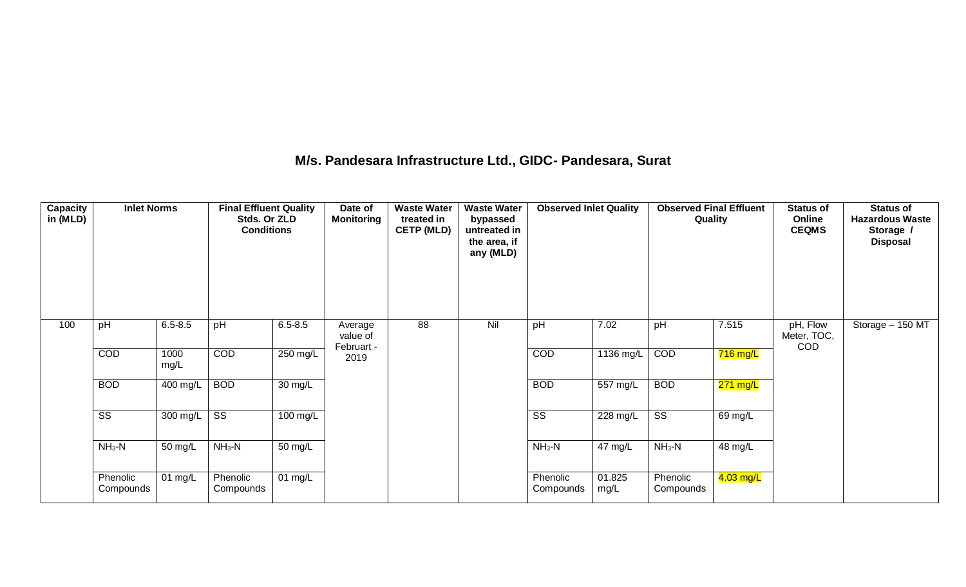#### **M/s. Pandesara Infrastructure Ltd., GIDC- Pandesara, Surat**

| Capacity<br>in (MLD) | <b>Inlet Norms</b>     |              | <b>Final Effluent Quality</b><br>Stds. Or ZLD<br><b>Conditions</b> |                   | Date of<br><b>Monitoring</b>      | <b>Waste Water</b><br>treated in<br><b>CETP (MLD)</b> | <b>Waste Water</b><br>bypassed<br>untreated in<br>the area, if<br>any (MLD) | <b>Observed Inlet Quality</b> |                | <b>Observed Final Effluent</b><br>Quality |            | <b>Status of</b><br>Online<br><b>CEQMS</b> | <b>Status of</b><br><b>Hazardous Waste</b><br>Storage /<br><b>Disposal</b> |
|----------------------|------------------------|--------------|--------------------------------------------------------------------|-------------------|-----------------------------------|-------------------------------------------------------|-----------------------------------------------------------------------------|-------------------------------|----------------|-------------------------------------------|------------|--------------------------------------------|----------------------------------------------------------------------------|
| 100                  | pH                     | $6.5 - 8.5$  | pH                                                                 | $6.5 - 8.5$       | Average<br>value of<br>Februart - | 88                                                    | Nil                                                                         | pH                            | 7.02           | pH                                        | 7.515      | pH, Flow<br>Meter, TOC,<br><b>COD</b>      | Storage - 150 MT                                                           |
|                      | COD                    | 1000<br>mg/L | <b>COD</b>                                                         | 250 mg/L          | 2019                              |                                                       |                                                                             | <b>COD</b>                    | 1136 mg/L      | COD                                       | $716$ mg/L |                                            |                                                                            |
|                      | <b>BOD</b>             | 400 mg/L     | <b>BOD</b>                                                         | $30 \text{ mg/L}$ |                                   |                                                       |                                                                             | <b>BOD</b>                    | 557 mg/L       | <b>BOD</b>                                | $271$ mg/L |                                            |                                                                            |
|                      | $\overline{\text{SS}}$ | 300 mg/L     | $\overline{\text{SS}}$                                             | 100 mg/L          |                                   |                                                       |                                                                             | $\overline{\text{SS}}$        | 228 mg/L       | $\overline{\text{SS}}$                    | 69 mg/L    |                                            |                                                                            |
|                      | $NH3-N$                | 50 mg/L      | $NH3-N$                                                            | 50 mg/L           |                                   |                                                       |                                                                             | $NH3-N$                       | 47 mg/L        | $NH3-N$                                   | 48 mg/L    |                                            |                                                                            |
|                      | Phenolic<br>Compounds  | $01$ mg/L    | Phenolic<br>Compounds                                              | 01 $mg/L$         |                                   |                                                       |                                                                             | Phenolic<br>Compounds         | 01.825<br>mg/L | Phenolic<br>Compounds                     | 4.03 mg/L  |                                            |                                                                            |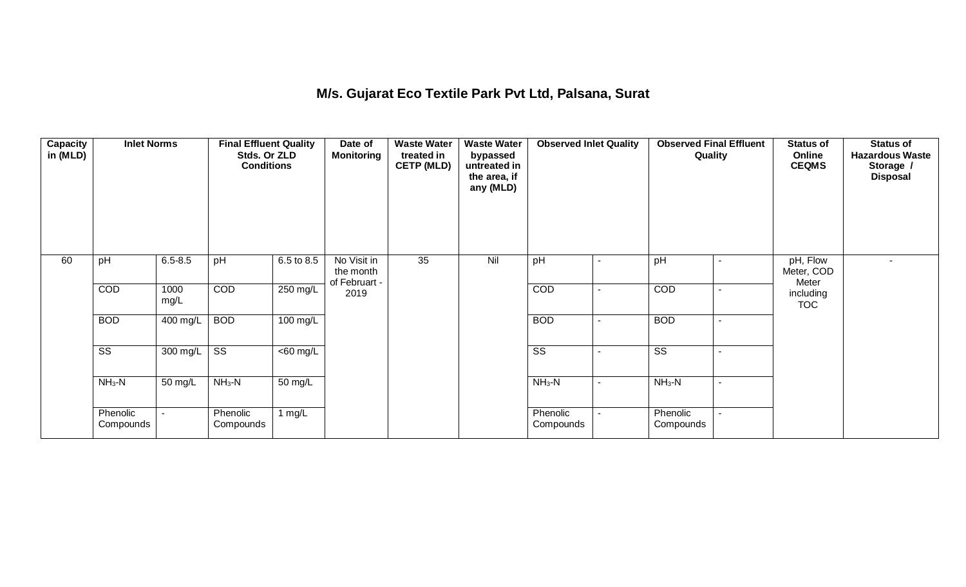## **M/s. Gujarat Eco Textile Park Pvt Ltd, Palsana, Surat**

| Capacity<br>in (MLD) | <b>Inlet Norms</b>     |                          | <b>Final Effluent Quality</b><br>Stds. Or ZLD<br><b>Conditions</b> |             | Date of<br><b>Monitoring</b>              | <b>Waste Water</b><br>treated in<br><b>CETP (MLD)</b> | <b>Waste Water</b><br>bypassed<br>untreated in<br>the area, if<br>any (MLD) | <b>Observed Inlet Quality</b> |                | <b>Observed Final Effluent</b><br>Quality |                          | <b>Status of</b><br>Online<br><b>CEQMS</b> | <b>Status of</b><br><b>Hazardous Waste</b><br>Storage /<br><b>Disposal</b> |
|----------------------|------------------------|--------------------------|--------------------------------------------------------------------|-------------|-------------------------------------------|-------------------------------------------------------|-----------------------------------------------------------------------------|-------------------------------|----------------|-------------------------------------------|--------------------------|--------------------------------------------|----------------------------------------------------------------------------|
| 60                   | pH                     | $6.5 - 8.5$              | pH                                                                 | 6.5 to 8.5  | No Visit in<br>the month<br>of Februart - | 35                                                    | Nil                                                                         | pH                            | $\blacksquare$ | pH                                        |                          | pH, Flow<br>Meter, COD<br>Meter            |                                                                            |
|                      | COD                    | 1000<br>mg/L             | COD                                                                | 250 mg/L    | 2019                                      |                                                       |                                                                             | COD                           | $\sim$         | COD                                       | $\sim$                   | including<br><b>TOC</b>                    |                                                                            |
|                      | <b>BOD</b>             | 400 mg/L                 | <b>BOD</b>                                                         | 100 mg/L    |                                           |                                                       |                                                                             | <b>BOD</b>                    | $\sim$         | <b>BOD</b>                                | $\sim$                   |                                            |                                                                            |
|                      | $\overline{\text{SS}}$ | 300 mg/L                 | $\overline{\text{SS}}$                                             | $<$ 60 mg/L |                                           |                                                       |                                                                             | SS                            | $\blacksquare$ | $\overline{\text{SS}}$                    |                          |                                            |                                                                            |
|                      | $NH3-N$                | 50 mg/L                  | $NH3-N$                                                            | 50 mg/L     |                                           |                                                       |                                                                             | $NH3-N$                       | $\blacksquare$ | $NH3-N$                                   | $\overline{\phantom{a}}$ |                                            |                                                                            |
|                      | Phenolic<br>Compounds  | $\overline{\phantom{a}}$ | Phenolic<br>Compounds                                              | 1 $mg/L$    |                                           |                                                       |                                                                             | Phenolic<br>Compounds         | $\sim$         | Phenolic<br>Compounds                     |                          |                                            |                                                                            |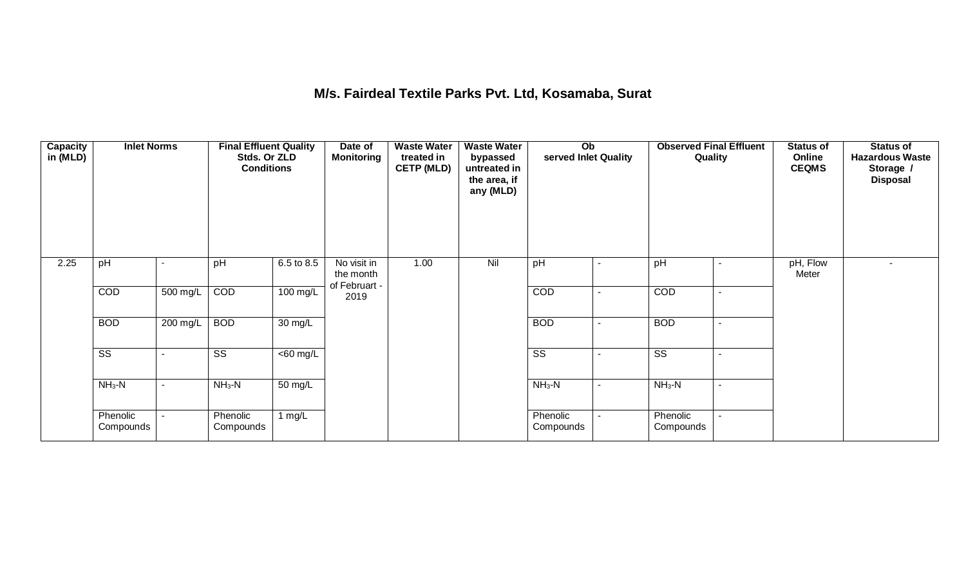#### **M/s. Fairdeal Textile Parks Pvt. Ltd, Kosamaba, Surat**

| Capacity<br>in (MLD) | <b>Inlet Norms</b>     |                          | <b>Final Effluent Quality</b><br>Stds. Or ZLD<br><b>Conditions</b> |             | Date of<br><b>Monitoring</b>              | <b>Waste Water</b><br>treated in<br><b>CETP (MLD)</b> | <b>Waste Water</b><br>bypassed<br>untreated in<br>the area, if<br>any (MLD) | Ob<br>served Inlet Quality |                | <b>Observed Final Effluent</b><br>Quality |                          | <b>Status of</b><br>Online<br><b>CEQMS</b> | Status of<br><b>Hazardous Waste</b><br>Storage /<br><b>Disposal</b> |
|----------------------|------------------------|--------------------------|--------------------------------------------------------------------|-------------|-------------------------------------------|-------------------------------------------------------|-----------------------------------------------------------------------------|----------------------------|----------------|-------------------------------------------|--------------------------|--------------------------------------------|---------------------------------------------------------------------|
| 2.25                 | pH                     |                          | pH                                                                 | 6.5 to 8.5  | No visit in<br>the month<br>of Februart - | 1.00                                                  | Nil                                                                         | pH                         | $\overline{a}$ | pH                                        |                          | pH, Flow<br>Meter                          |                                                                     |
|                      | <b>COD</b>             | 500 mg/L                 | COD                                                                | 100 mg/L    | 2019                                      |                                                       |                                                                             | COD                        | $\blacksquare$ | COD                                       | $\blacksquare$           |                                            |                                                                     |
|                      | <b>BOD</b>             | 200 mg/L                 | <b>BOD</b>                                                         | 30 mg/L     |                                           |                                                       |                                                                             | <b>BOD</b>                 | $\blacksquare$ | <b>BOD</b>                                | $\sim$                   |                                            |                                                                     |
|                      | $\overline{\text{SS}}$ |                          | SS                                                                 | $<$ 60 mg/L |                                           |                                                       |                                                                             | $\overline{\text{SS}}$     | $\blacksquare$ | $\overline{\text{ss}}$                    | $\sim$                   |                                            |                                                                     |
|                      | $NH3-N$                | $\sim$                   | $NH3-N$                                                            | 50 mg/L     |                                           |                                                       |                                                                             | $NH3-N$                    | $\sim$         | $NH3-N$                                   | $\overline{\phantom{a}}$ |                                            |                                                                     |
|                      | Phenolic<br>Compounds  | $\overline{\phantom{a}}$ | Phenolic<br>Compounds                                              | 1 $mg/L$    |                                           |                                                       |                                                                             | Phenolic<br>Compounds      | $\sim$         | Phenolic<br>Compounds                     | $\sim$                   |                                            |                                                                     |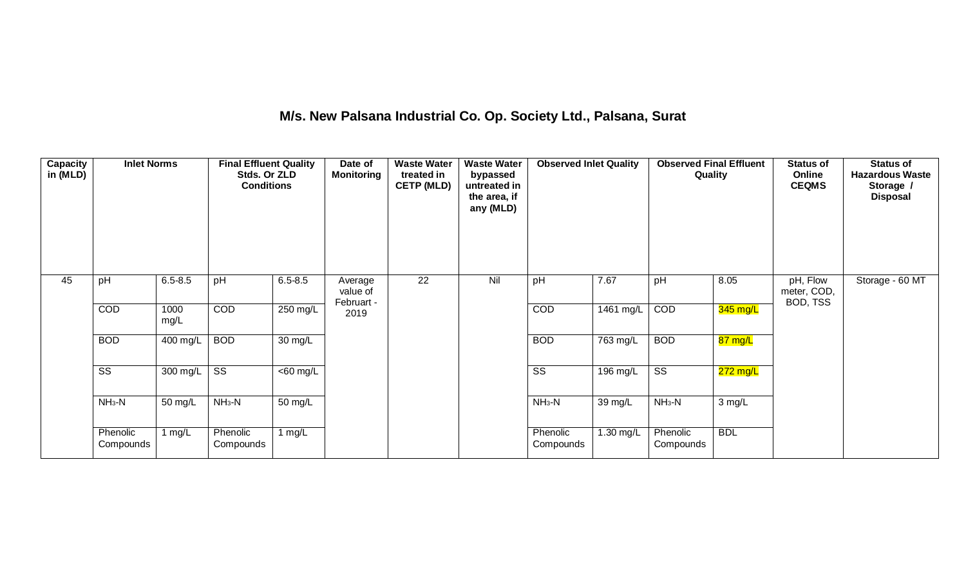# **M/s. New Palsana Industrial Co. Op. Society Ltd., Palsana, Surat**

| <b>Capacity</b><br>in (MLD) | <b>Inlet Norms</b>    |              | <b>Final Effluent Quality</b><br>Stds. Or ZLD<br><b>Conditions</b> |             | Date of<br><b>Monitoring</b>      | <b>Waste Water</b><br>treated in<br><b>CETP (MLD)</b> | <b>Waste Water</b><br>bypassed<br>untreated in<br>the area, if<br>any (MLD) | <b>Observed Inlet Quality</b> |           | <b>Observed Final Effluent</b><br>Quality |            | <b>Status of</b><br>Online<br><b>CEQMS</b> | <b>Status of</b><br><b>Hazardous Waste</b><br>Storage /<br><b>Disposal</b> |
|-----------------------------|-----------------------|--------------|--------------------------------------------------------------------|-------------|-----------------------------------|-------------------------------------------------------|-----------------------------------------------------------------------------|-------------------------------|-----------|-------------------------------------------|------------|--------------------------------------------|----------------------------------------------------------------------------|
| 45                          | pH                    | $6.5 - 8.5$  | pH                                                                 | $6.5 - 8.5$ | Average<br>value of<br>Februart - | 22                                                    | Nil                                                                         | pH                            | 7.67      | pH                                        | 8.05       | pH, Flow<br>meter, COD,<br>BOD, TSS        | Storage - 60 MT                                                            |
|                             | COD                   | 1000<br>mg/L | COD                                                                | 250 mg/L    | 2019                              |                                                       |                                                                             | COD                           | 1461 mg/L | COD                                       | 345 mg/L   |                                            |                                                                            |
|                             | <b>BOD</b>            | 400 mg/L     | <b>BOD</b>                                                         | 30 mg/L     |                                   |                                                       |                                                                             | <b>BOD</b>                    | 763 mg/L  | <b>BOD</b>                                | 87 mg/L    |                                            |                                                                            |
|                             | SS                    | 300 mg/L     | SS                                                                 | $<$ 60 mg/L |                                   |                                                       |                                                                             | $\overline{\text{SS}}$        | 196 mg/L  | $\overline{\text{ss}}$                    | 272 mg/L   |                                            |                                                                            |
|                             | $NH3-N$               | 50 mg/L      | $NH3-N$                                                            | 50 mg/L     |                                   |                                                       |                                                                             | $NH3-N$                       | 39 mg/L   | $NH3-N$                                   | 3 mg/L     |                                            |                                                                            |
|                             | Phenolic<br>Compounds | 1 $mg/L$     | Phenolic<br>Compounds                                              | 1 $mg/L$    |                                   |                                                       |                                                                             | Phenolic<br>Compounds         | 1.30 mg/L | Phenolic<br>Compounds                     | <b>BDL</b> |                                            |                                                                            |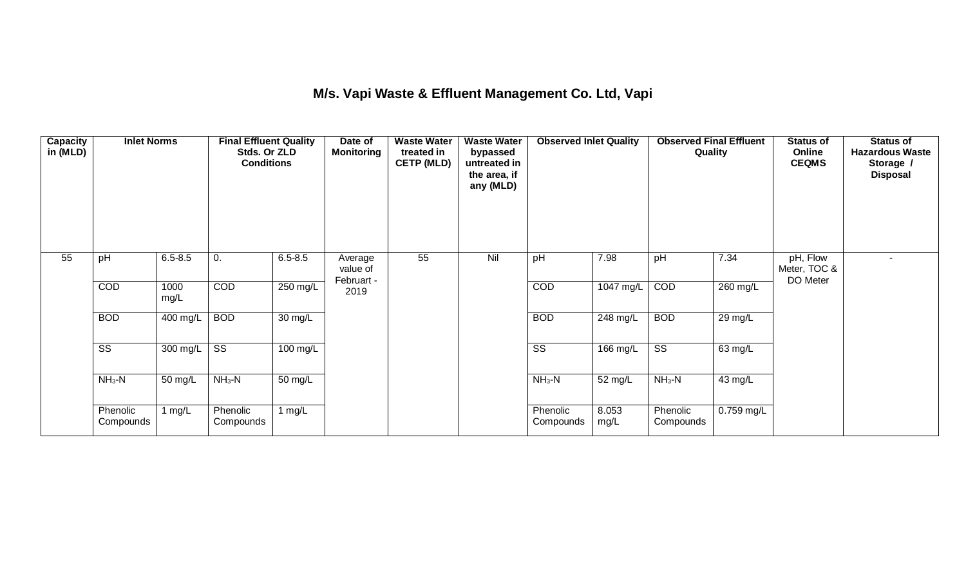## **M/s. Vapi Waste & Effluent Management Co. Ltd, Vapi**

| <b>Capacity</b><br>in (MLD) | <b>Inlet Norms</b>    |              | <b>Final Effluent Quality</b><br>Stds. Or ZLD<br><b>Conditions</b> |             | Date of<br>Monitoring             | <b>Waste Water</b><br>treated in<br><b>CETP (MLD)</b> | <b>Waste Water</b><br>bypassed<br>untreated in<br>the area, if<br>any (MLD) | <b>Observed Inlet Quality</b> |               | <b>Observed Final Effluent</b><br>Quality |            | <b>Status of</b><br>Online<br><b>CEQMS</b> | <b>Status of</b><br><b>Hazardous Waste</b><br>Storage /<br><b>Disposal</b> |
|-----------------------------|-----------------------|--------------|--------------------------------------------------------------------|-------------|-----------------------------------|-------------------------------------------------------|-----------------------------------------------------------------------------|-------------------------------|---------------|-------------------------------------------|------------|--------------------------------------------|----------------------------------------------------------------------------|
| 55                          | pH                    | $6.5 - 8.5$  | 0.                                                                 | $6.5 - 8.5$ | Average<br>value of<br>Februart - | 55                                                    | Nil                                                                         | pH                            | 7.98          | pH                                        | 7.34       | pH, Flow<br>Meter, TOC &<br>DO Meter       | $\overline{a}$                                                             |
|                             | <b>COD</b>            | 1000<br>mg/L | <b>COD</b>                                                         | 250 mg/L    | 2019                              |                                                       |                                                                             | COD                           | $1047$ mg/L   | COD                                       | 260 mg/L   |                                            |                                                                            |
|                             | <b>BOD</b>            | 400 mg/L     | <b>BOD</b>                                                         | 30 mg/L     |                                   |                                                       |                                                                             | <b>BOD</b>                    | 248 mg/L      | <b>BOD</b>                                | 29 mg/L    |                                            |                                                                            |
|                             | SS                    | 300 mg/L     | SS                                                                 | 100 mg/L    |                                   |                                                       |                                                                             | $\overline{\text{ss}}$        | 166 mg/L      | $\overline{\text{ss}}$                    | 63 mg/L    |                                            |                                                                            |
|                             | $NH3-N$               | 50 mg/L      | $NH3-N$                                                            | 50 mg/L     |                                   |                                                       |                                                                             | $NH3-N$                       | 52 mg/L       | $NH3-N$                                   | 43 mg/L    |                                            |                                                                            |
|                             | Phenolic<br>Compounds | 1 $mg/L$     | Phenolic<br>Compounds                                              | 1 $mg/L$    |                                   |                                                       |                                                                             | Phenolic<br>Compounds         | 8.053<br>mg/L | Phenolic<br>Compounds                     | 0.759 mg/L |                                            |                                                                            |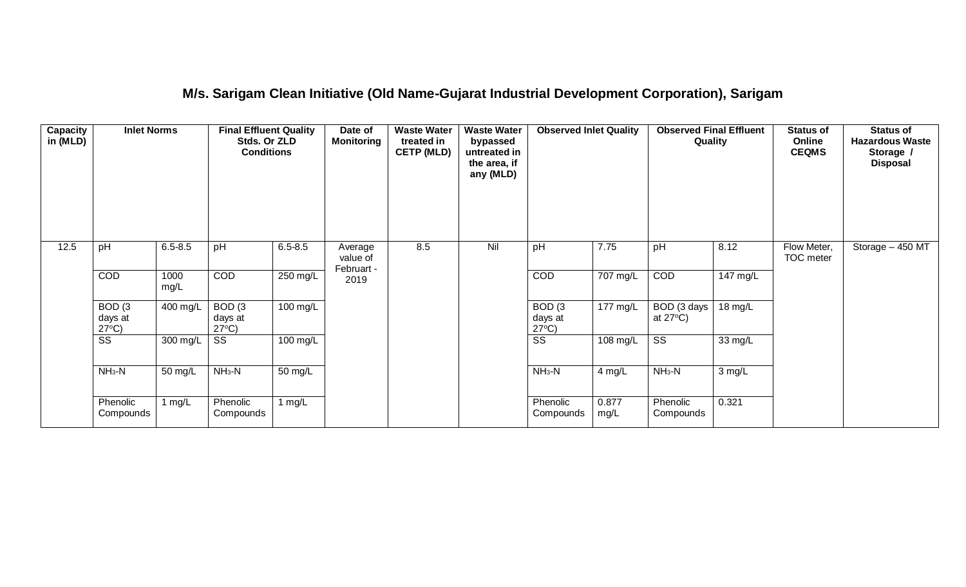### **M/s. Sarigam Clean Initiative (Old Name-Gujarat Industrial Development Corporation), Sarigam**

| Capacity<br>in (MLD) | <b>Inlet Norms</b>                              |              | <b>Final Effluent Quality</b><br>Stds. Or ZLD<br><b>Conditions</b> |             | Date of<br><b>Monitoring</b>      | <b>Waste Water</b><br>treated in<br><b>CETP (MLD)</b> | <b>Waste Water</b><br>bypassed<br>untreated in<br>the area, if<br>any (MLD) | <b>Observed Inlet Quality</b><br>7.75           |               | <b>Observed Final Effluent</b><br>Quality |          | <b>Status of</b><br>Online<br><b>CEQMS</b> | <b>Status of</b><br><b>Hazardous Waste</b><br>Storage /<br><b>Disposal</b> |
|----------------------|-------------------------------------------------|--------------|--------------------------------------------------------------------|-------------|-----------------------------------|-------------------------------------------------------|-----------------------------------------------------------------------------|-------------------------------------------------|---------------|-------------------------------------------|----------|--------------------------------------------|----------------------------------------------------------------------------|
| 12.5                 | pH                                              | $6.5 - 8.5$  | pH                                                                 | $6.5 - 8.5$ | Average<br>value of<br>Februart - | 8.5                                                   | Nil                                                                         | pH                                              |               | pH                                        | 8.12     | Flow Meter,<br>TOC meter                   | Storage - 450 MT                                                           |
|                      | COD                                             | 1000<br>mg/L | COD                                                                | $250$ mg/L  | 2019                              |                                                       |                                                                             | COD                                             | 707 mg/L      | COD                                       | 147 mg/L |                                            |                                                                            |
|                      | BOD <sub>(3</sub><br>days at<br>$27^{\circ}C$ ) | 400 mg/L     | BOD <sub>(3</sub><br>days at<br>$27^{\circ}C$ )                    | 100 mg/L    |                                   |                                                       |                                                                             | BOD <sub>(3</sub><br>days at<br>$27^{\circ}C$ ) | 177 mg/L      | BOD (3 days<br>at $27^{\circ}$ C)         | 18 mg/L  |                                            |                                                                            |
|                      | SS                                              | 300 mg/L     | SS                                                                 | 100 mg/L    |                                   |                                                       |                                                                             | SS                                              | 108 mg/L      | SS                                        | 33 mg/L  |                                            |                                                                            |
|                      | $NH3-N$                                         | 50 mg/L      | $NH3-N$                                                            | 50 mg/L     |                                   |                                                       |                                                                             | $NH3-N$                                         | 4 mg/L        | $NH3-N$                                   | 3 mg/L   |                                            |                                                                            |
|                      | Phenolic<br>Compounds                           | 1 $mg/L$     | Phenolic<br>Compounds                                              | 1 $mg/L$    |                                   |                                                       |                                                                             | Phenolic<br>Compounds                           | 0.877<br>mg/L | Phenolic<br>Compounds                     | 0.321    |                                            |                                                                            |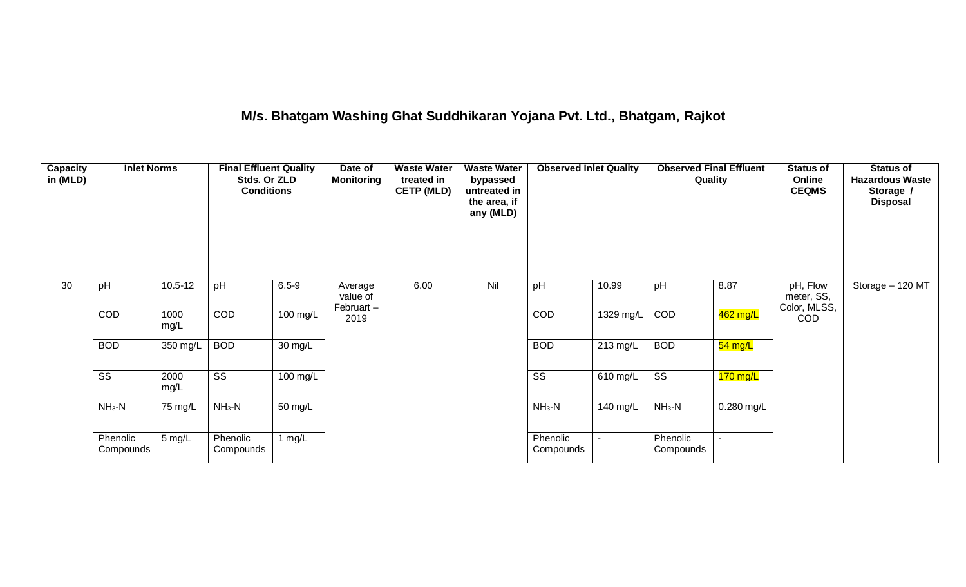# **M/s. Bhatgam Washing Ghat Suddhikaran Yojana Pvt. Ltd., Bhatgam, Rajkot**

| Capacity<br>in (MLD) | <b>Inlet Norms</b>                       |              | <b>Final Effluent Quality</b><br>Stds. Or ZLD<br><b>Conditions</b> |                    | Date of<br><b>Monitoring</b>     | <b>Waste Water</b><br>treated in<br><b>CETP (MLD)</b> | <b>Waste Water</b><br>bypassed<br>untreated in<br>the area, if<br>any (MLD) | <b>Observed Inlet Quality</b> |             | <b>Observed Final Effluent</b><br>Quality |            | <b>Status of</b><br>Online<br><b>CEQMS</b> | <b>Status of</b><br><b>Hazardous Waste</b><br>Storage /<br><b>Disposal</b> |
|----------------------|------------------------------------------|--------------|--------------------------------------------------------------------|--------------------|----------------------------------|-------------------------------------------------------|-----------------------------------------------------------------------------|-------------------------------|-------------|-------------------------------------------|------------|--------------------------------------------|----------------------------------------------------------------------------|
| 30                   | pH                                       | $10.5 - 12$  | pH                                                                 | $6.5 - 9$          | Average<br>value of<br>Februart- | 6.00                                                  | Nil                                                                         | pH                            | 10.99       | pH                                        | 8.87       | pH, Flow<br>meter, SS,<br>Color, MLSS,     | Storage - 120 MT                                                           |
|                      | COD                                      | 1000<br>mg/L | COD                                                                | $100 \text{ mg/L}$ | 2019                             |                                                       |                                                                             | COD                           | $1329$ mg/L | COD                                       | 462 mg/L   | <b>COD</b>                                 |                                                                            |
|                      | <b>BOD</b>                               | 350 mg/L     | <b>BOD</b>                                                         | 30 mg/L            |                                  |                                                       |                                                                             | <b>BOD</b>                    | 213 mg/L    | <b>BOD</b>                                | $54$ mg/L  |                                            |                                                                            |
|                      | $\overline{\text{SS}}$                   | 2000<br>mg/L | $\overline{\text{ss}}$                                             | 100 mg/L           |                                  |                                                       |                                                                             | $\overline{\text{SS}}$        | 610 mg/L    | $\overline{\text{SS}}$                    | $170$ mg/L |                                            |                                                                            |
|                      | $NH3-N$<br>$NH3-N$<br>75 mg/L<br>50 mg/L |              |                                                                    | $NH3-N$            | 140 mg/L                         | $NH3-N$                                               | 0.280 mg/L                                                                  |                               |             |                                           |            |                                            |                                                                            |
|                      | Phenolic<br>Compounds                    | 5 mg/L       | Phenolic<br>Compounds                                              | 1 $mg/L$           |                                  |                                                       |                                                                             | Phenolic<br>Compounds         |             | Phenolic<br>Compounds                     |            |                                            |                                                                            |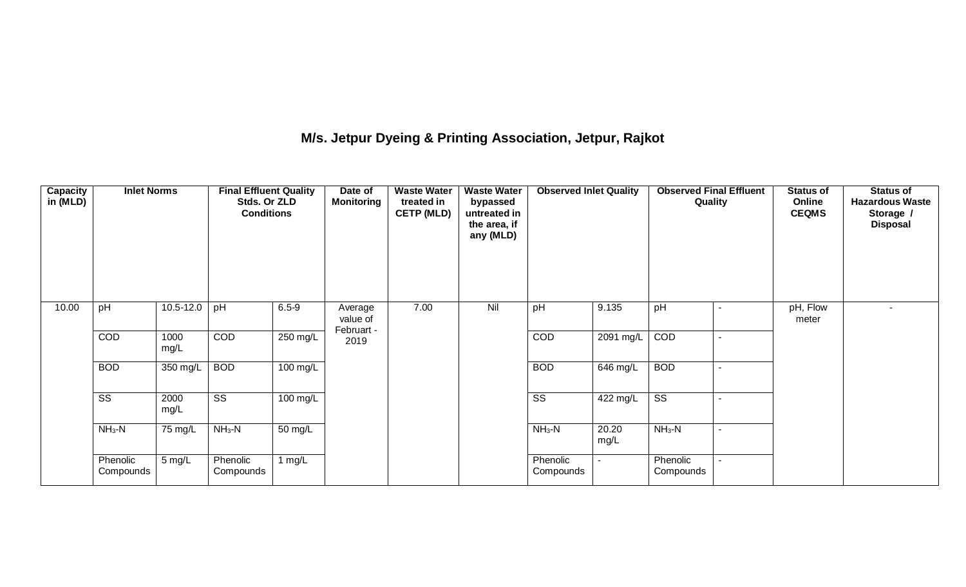### **M/s. Jetpur Dyeing & Printing Association, Jetpur, Rajkot**

| Capacity<br>in (MLD) | <b>Inlet Norms</b>     |               | <b>Final Effluent Quality</b><br>Stds. Or ZLD<br><b>Conditions</b> |           | Date of<br><b>Monitoring</b>      | <b>Waste Water</b><br>treated in<br><b>CETP (MLD)</b> | <b>Waste Water</b><br>bypassed<br>untreated in<br>the area, if<br>any (MLD) | <b>Observed Inlet Quality</b> |               | <b>Observed Final Effluent</b><br>Quality |                | <b>Status of</b><br>Online<br><b>CEQMS</b> | <b>Status of</b><br><b>Hazardous Waste</b><br>Storage /<br><b>Disposal</b> |
|----------------------|------------------------|---------------|--------------------------------------------------------------------|-----------|-----------------------------------|-------------------------------------------------------|-----------------------------------------------------------------------------|-------------------------------|---------------|-------------------------------------------|----------------|--------------------------------------------|----------------------------------------------------------------------------|
| 10.00                | pH                     | $10.5 - 12.0$ | pH                                                                 | $6.5 - 9$ | Average<br>value of<br>Februart - | 7.00                                                  | Nil                                                                         | pH                            | 9.135         | pH                                        | $\sim$         | pH, Flow<br>meter                          | $\blacksquare$                                                             |
|                      | COD                    | 1000<br>mg/L  | COD                                                                | 250 mg/L  | 2019                              |                                                       |                                                                             | <b>COD</b>                    | 2091 mg/L     | COD                                       | $\blacksquare$ |                                            |                                                                            |
|                      | <b>BOD</b>             | 350 mg/L      | <b>BOD</b>                                                         | 100 mg/L  |                                   |                                                       |                                                                             | <b>BOD</b>                    | 646 mg/L      | <b>BOD</b>                                | $\sim$         |                                            |                                                                            |
|                      | $\overline{\text{SS}}$ | 2000<br>mg/L  | SS                                                                 | 100 mg/L  |                                   |                                                       |                                                                             | $\overline{\text{ss}}$        | 422 mg/L      | $\overline{\text{ss}}$                    | $\blacksquare$ |                                            |                                                                            |
|                      | $NH3-N$                | 75 mg/L       | $NH3-N$                                                            | 50 mg/L   |                                   |                                                       |                                                                             | $NH_3-N$                      | 20.20<br>mg/L | $NH3-N$                                   | $\sim$         |                                            |                                                                            |
|                      | Phenolic<br>Compounds  | 5 mg/L        | Phenolic<br>Compounds                                              | 1 $mg/L$  |                                   |                                                       |                                                                             | Phenolic<br>Compounds         |               | Phenolic<br>Compounds                     | $\sim$         |                                            |                                                                            |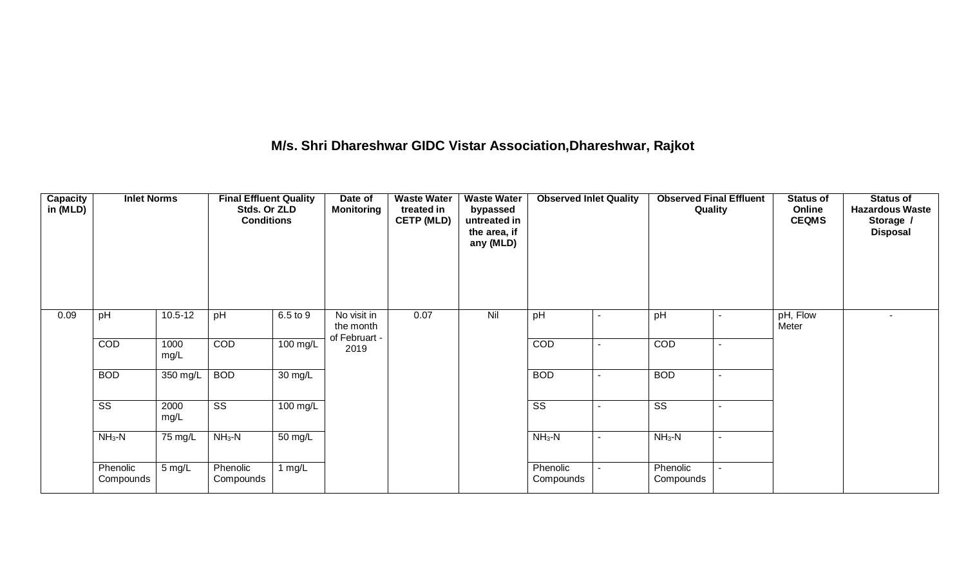### **M/s. Shri Dhareshwar GIDC Vistar Association,Dhareshwar, Rajkot**

| Capacity<br>in (MLD) | <b>Inlet Norms</b>     |              | <b>Final Effluent Quality</b><br>Stds. Or ZLD<br><b>Conditions</b> |          | Date of<br><b>Monitoring</b>              | <b>Waste Water</b><br>treated in<br><b>CETP (MLD)</b> | <b>Waste Water</b><br>bypassed<br>untreated in<br>the area, if<br>any (MLD) | <b>Observed Inlet Quality</b> |                          | <b>Observed Final Effluent</b><br>Quality |                          | <b>Status of</b><br>Online<br><b>CEQMS</b> | <b>Status of</b><br><b>Hazardous Waste</b><br>Storage /<br><b>Disposal</b> |
|----------------------|------------------------|--------------|--------------------------------------------------------------------|----------|-------------------------------------------|-------------------------------------------------------|-----------------------------------------------------------------------------|-------------------------------|--------------------------|-------------------------------------------|--------------------------|--------------------------------------------|----------------------------------------------------------------------------|
| 0.09                 | pH                     | $10.5 - 12$  | pH                                                                 | 6.5 to 9 | No visit in<br>the month<br>of Februart - | 0.07                                                  | Nil                                                                         | pH                            | $\sim$                   | pH                                        | $\sim$                   | pH, Flow<br>Meter                          | $\sim$                                                                     |
|                      | <b>COD</b>             | 1000<br>mg/L | COD                                                                | 100 mg/L | 2019                                      |                                                       |                                                                             | COD                           | $\overline{\phantom{a}}$ | COD                                       | $\overline{\phantom{a}}$ |                                            |                                                                            |
|                      | <b>BOD</b>             | 350 mg/L     | <b>BOD</b>                                                         | 30 mg/L  |                                           |                                                       |                                                                             | <b>BOD</b>                    | $\sim$                   | <b>BOD</b>                                | $\sim$                   |                                            |                                                                            |
|                      | $\overline{\text{ss}}$ | 2000<br>mg/L | $\overline{\text{ss}}$                                             | 100 mg/L |                                           |                                                       |                                                                             | $\overline{\text{ss}}$        | $\blacksquare$           | $\overline{\text{ss}}$                    | $\overline{\phantom{a}}$ |                                            |                                                                            |
|                      | $NH3-N$                | 75 mg/L      | $NH3-N$                                                            | 50 mg/L  |                                           |                                                       |                                                                             | $NH3-N$                       | $\sim$                   | $NH3-N$                                   | $\sim$                   |                                            |                                                                            |
|                      | Phenolic<br>Compounds  | 5 mg/L       | Phenolic<br>Compounds                                              | 1 $mg/L$ |                                           |                                                       |                                                                             | Phenolic<br>Compounds         |                          | Phenolic<br>Compounds                     | $\sim$                   |                                            |                                                                            |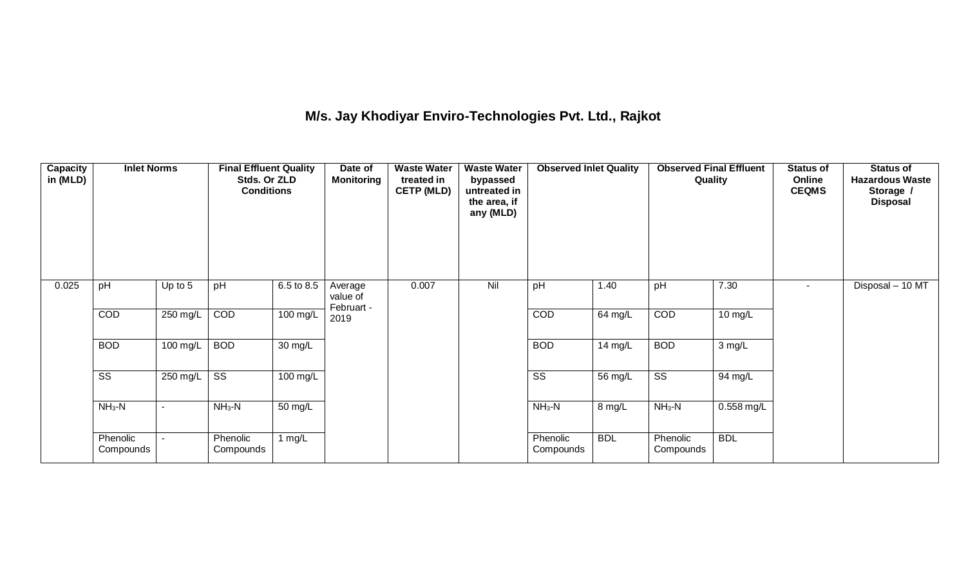# **M/s. Jay Khodiyar Enviro-Technologies Pvt. Ltd., Rajkot**

| Capacity<br>in (MLD) | <b>Inlet Norms</b>    |          | <b>Final Effluent Quality</b><br>Stds. Or ZLD<br><b>Conditions</b> |            | Date of<br><b>Monitoring</b>      | <b>Waste Water</b><br>treated in<br><b>CETP (MLD)</b> | <b>Waste Water</b><br>bypassed<br>untreated in<br>the area, if<br>any (MLD) | <b>Observed Inlet Quality</b> |            | <b>Observed Final Effluent</b><br>Quality |              | <b>Status of</b><br>Online<br><b>CEQMS</b> | <b>Status of</b><br><b>Hazardous Waste</b><br>Storage /<br><b>Disposal</b> |
|----------------------|-----------------------|----------|--------------------------------------------------------------------|------------|-----------------------------------|-------------------------------------------------------|-----------------------------------------------------------------------------|-------------------------------|------------|-------------------------------------------|--------------|--------------------------------------------|----------------------------------------------------------------------------|
| 0.025                | pH                    | Up to 5  | pH                                                                 | 6.5 to 8.5 | Average<br>value of<br>Februart - | 0.007                                                 | Nil                                                                         | pH                            | 1.40       | pH                                        | 7.30         | ۰                                          | Disposal - 10 MT                                                           |
|                      | COD                   | 250 mg/L | COD                                                                | 100 mg/L   | 2019                              |                                                       |                                                                             | COD                           | 64 mg/L    | COD                                       | 10 mg/L      |                                            |                                                                            |
|                      | <b>BOD</b>            | 100 mg/L | <b>BOD</b>                                                         | 30 mg/L    |                                   |                                                       |                                                                             | <b>BOD</b>                    | 14 mg/L    | <b>BOD</b>                                | 3 mg/L       |                                            |                                                                            |
|                      | SS                    | 250 mg/L | $\overline{\text{ss}}$                                             | 100 mg/L   |                                   |                                                       |                                                                             | $\overline{\text{SS}}$        | 56 mg/L    | $\overline{\text{SS}}$                    | 94 mg/L      |                                            |                                                                            |
|                      | $NH3-N$               | $\sim$   | $NH3-N$                                                            | 50 mg/L    |                                   |                                                       |                                                                             | $NH3-N$                       | 8 mg/L     | $NH3-N$                                   | $0.558$ mg/L |                                            |                                                                            |
|                      | Phenolic<br>Compounds | $\sim$   | Phenolic<br>Compounds                                              | 1 $mg/L$   |                                   |                                                       |                                                                             | Phenolic<br>Compounds         | <b>BDL</b> | Phenolic<br>Compounds                     | <b>BDL</b>   |                                            |                                                                            |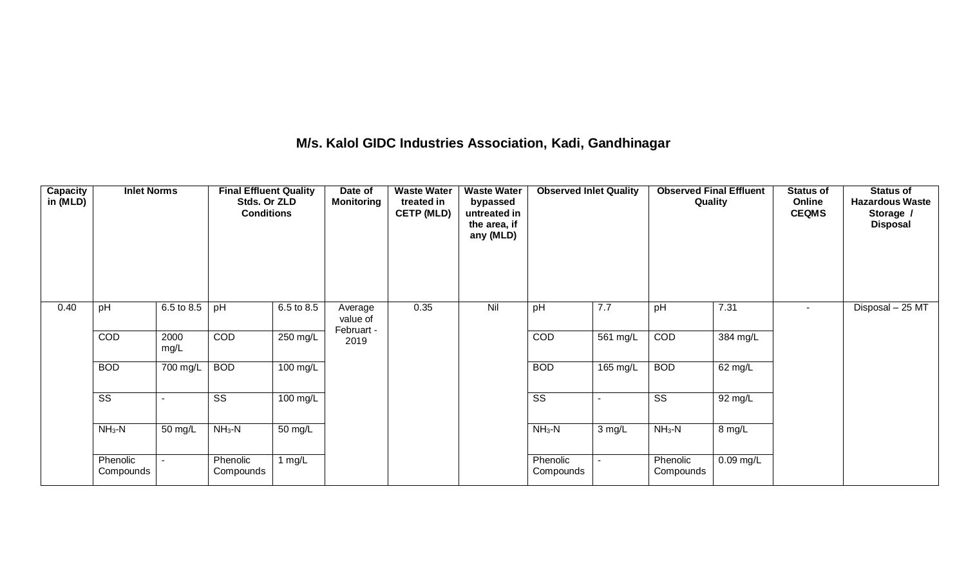#### **M/s. Kalol GIDC Industries Association, Kadi, Gandhinagar**

| Capacity<br>in (MLD) | <b>Inlet Norms</b>     |              | <b>Final Effluent Quality</b><br>Stds. Or ZLD<br><b>Conditions</b> |            | Date of<br><b>Monitoring</b>      | <b>Waste Water</b><br>treated in<br><b>CETP (MLD)</b> | bypassed<br>untreated in<br>the area, if<br>any (MLD)<br>Nil | <b>Observed Inlet Quality</b> |          | <b>Observed Final Effluent</b><br>Quality |             | <b>Status of</b><br>Online<br><b>CEQMS</b> | <b>Status of</b><br><b>Hazardous Waste</b><br>Storage /<br><b>Disposal</b> |
|----------------------|------------------------|--------------|--------------------------------------------------------------------|------------|-----------------------------------|-------------------------------------------------------|--------------------------------------------------------------|-------------------------------|----------|-------------------------------------------|-------------|--------------------------------------------|----------------------------------------------------------------------------|
| 0.40                 | pH                     | 6.5 to 8.5   | pH                                                                 | 6.5 to 8.5 | Average<br>value of<br>Februart - | 0.35                                                  |                                                              | pH                            | 7.7      | pH                                        | 7.31        | $\sim$                                     | Disposal - 25 MT                                                           |
|                      | COD                    | 2000<br>mg/L | <b>COD</b>                                                         | 250 mg/L   | 2019                              |                                                       |                                                              | <b>COD</b>                    | 561 mg/L | COD                                       | 384 mg/L    |                                            |                                                                            |
|                      | <b>BOD</b>             | 700 mg/L     | <b>BOD</b>                                                         | 100 mg/L   |                                   |                                                       |                                                              | <b>BOD</b>                    | 165 mg/L | <b>BOD</b>                                | 62 mg/L     |                                            |                                                                            |
|                      | $\overline{\text{ss}}$ |              | SS                                                                 | 100 mg/L   |                                   |                                                       |                                                              | $\overline{\text{ss}}$        |          | $\overline{\text{ss}}$                    | 92 mg/L     |                                            |                                                                            |
|                      | $NH3-N$                | 50 mg/L      | $NH3-N$                                                            | 50 mg/L    |                                   |                                                       |                                                              | $NH3-N$                       | 3 mg/L   | $NH3-N$                                   | 8 mg/L      |                                            |                                                                            |
|                      | Phenolic<br>Compounds  | $\sim$       | Phenolic<br>Compounds                                              | 1 $mg/L$   |                                   |                                                       |                                                              | Phenolic<br>Compounds         |          | Phenolic<br>Compounds                     | $0.09$ mg/L |                                            |                                                                            |